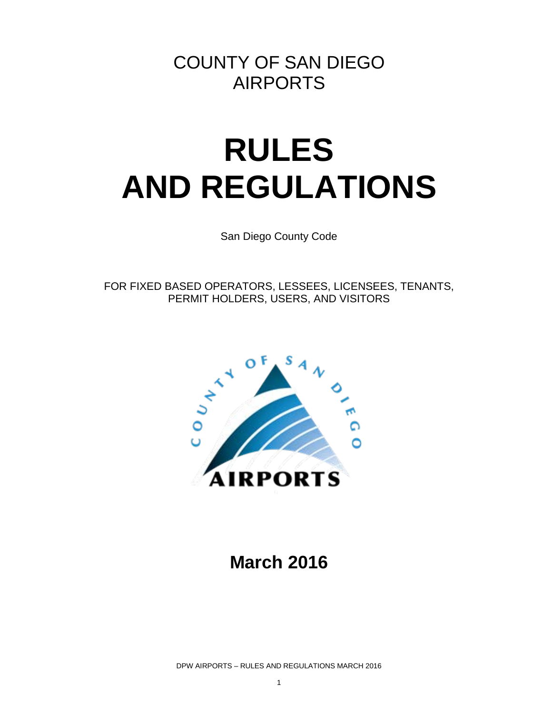# COUNTY OF SAN DIEGO AIRPORTS

# **RULES AND REGULATIONS**

San Diego County Code

FOR FIXED BASED OPERATORS, LESSEES, LICENSEES, TENANTS, PERMIT HOLDERS, USERS, AND VISITORS



# **March 2016**

DPW AIRPORTS – RULES AND REGULATIONS MARCH 2016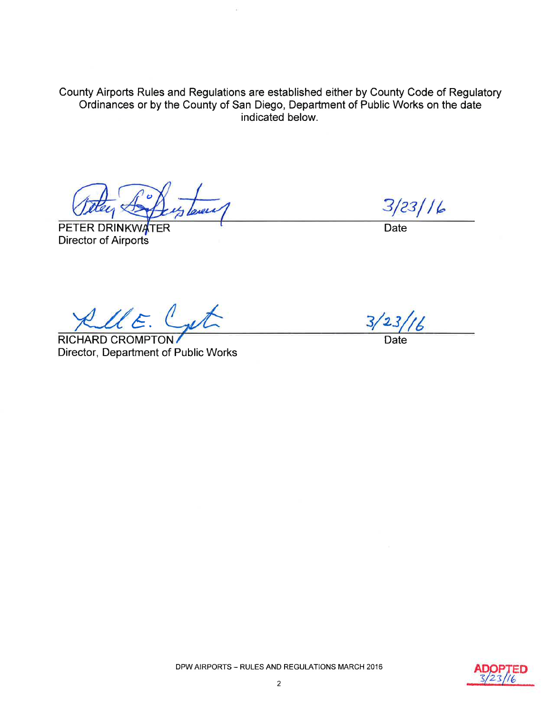County Airports Rules and Regulations are established either by County Code of Regulatory Ordinances or by the County of San Diego, Department of Public Works on the date indicated below.

PETER DRINKWATER **Director of Airports** 

 $3/23/16$ 

**Date** 

KellE. Cat

**RICHARD CROMPTON** Director, Department of Public Works

Date

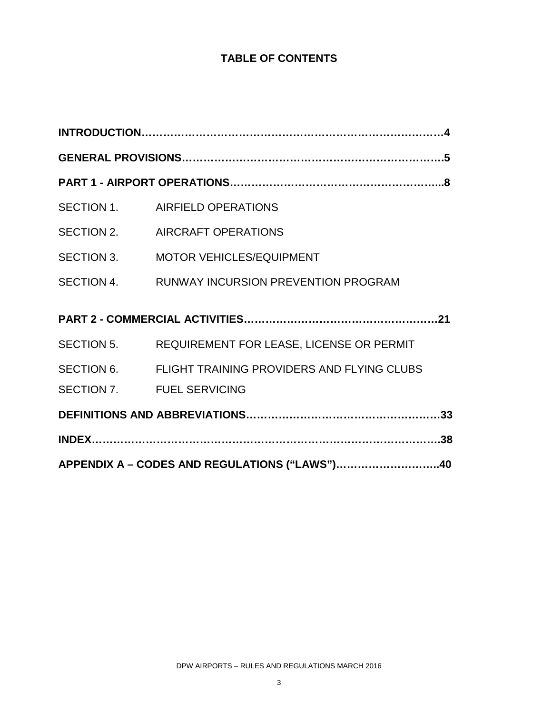### **TABLE OF CONTENTS**

|                                               | SECTION 1. AIRFIELD OPERATIONS                        |  |  |  |  |
|-----------------------------------------------|-------------------------------------------------------|--|--|--|--|
|                                               | SECTION 2. AIRCRAFT OPERATIONS                        |  |  |  |  |
| SECTION 3.                                    | <b>MOTOR VEHICLES/EQUIPMENT</b>                       |  |  |  |  |
|                                               | SECTION 4. RUNWAY INCURSION PREVENTION PROGRAM        |  |  |  |  |
|                                               |                                                       |  |  |  |  |
|                                               | SECTION 5. REQUIREMENT FOR LEASE, LICENSE OR PERMIT   |  |  |  |  |
|                                               | SECTION 6. FLIGHT TRAINING PROVIDERS AND FLYING CLUBS |  |  |  |  |
|                                               | SECTION 7. FUEL SERVICING                             |  |  |  |  |
|                                               |                                                       |  |  |  |  |
|                                               |                                                       |  |  |  |  |
| APPENDIX A - CODES AND REGULATIONS ("LAWS")40 |                                                       |  |  |  |  |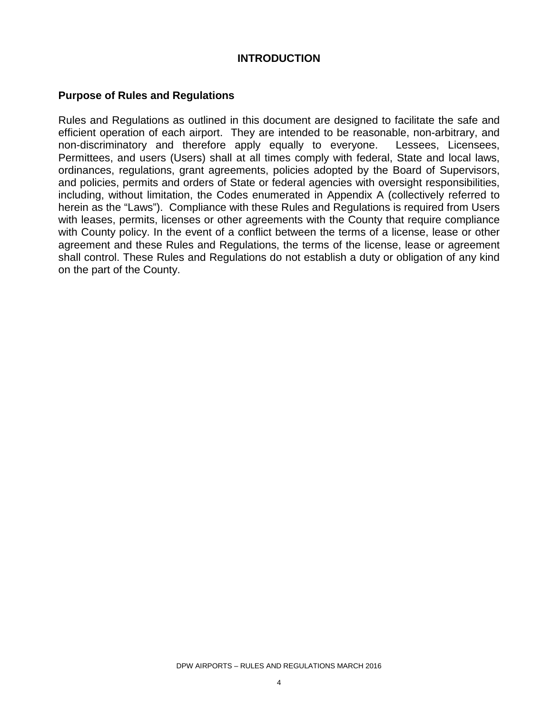#### **INTRODUCTION**

#### **Purpose of Rules and Regulations**

Rules and Regulations as outlined in this document are designed to facilitate the safe and efficient operation of each airport. They are intended to be reasonable, non-arbitrary, and non-discriminatory and therefore apply equally to everyone. Lessees, Licensees, Permittees, and users (Users) shall at all times comply with federal, State and local laws, ordinances, regulations, grant agreements, policies adopted by the Board of Supervisors, and policies, permits and orders of State or federal agencies with oversight responsibilities, including, without limitation, the Codes enumerated in Appendix A (collectively referred to herein as the "Laws"). Compliance with these Rules and Regulations is required from Users with leases, permits, licenses or other agreements with the County that require compliance with County policy. In the event of a conflict between the terms of a license, lease or other agreement and these Rules and Regulations, the terms of the license, lease or agreement shall control. These Rules and Regulations do not establish a duty or obligation of any kind on the part of the County.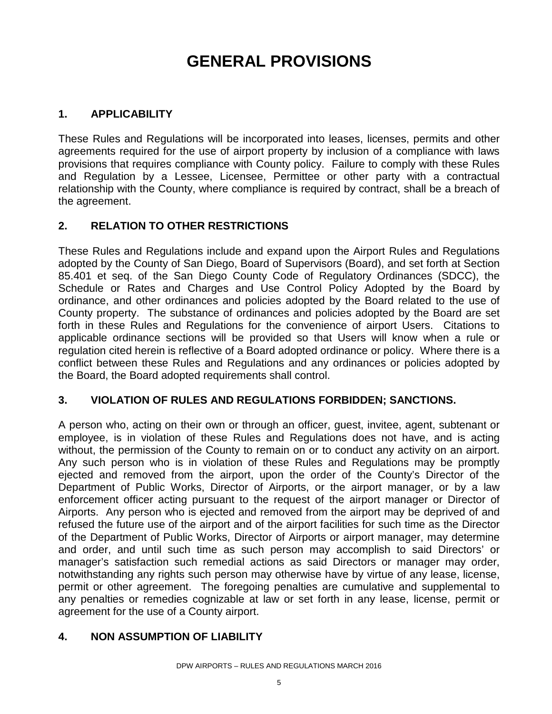# **GENERAL PROVISIONS**

#### **1. APPLICABILITY**

These Rules and Regulations will be incorporated into leases, licenses, permits and other agreements required for the use of airport property by inclusion of a compliance with laws provisions that requires compliance with County policy. Failure to comply with these Rules and Regulation by a Lessee, Licensee, Permittee or other party with a contractual relationship with the County, where compliance is required by contract, shall be a breach of the agreement.

#### **2. RELATION TO OTHER RESTRICTIONS**

These Rules and Regulations include and expand upon the Airport Rules and Regulations adopted by the County of San Diego, Board of Supervisors (Board), and set forth at Section 85.401 et seq. of the San Diego County Code of Regulatory Ordinances (SDCC), the Schedule or Rates and Charges and Use Control Policy Adopted by the Board by ordinance, and other ordinances and policies adopted by the Board related to the use of County property. The substance of ordinances and policies adopted by the Board are set forth in these Rules and Regulations for the convenience of airport Users. Citations to applicable ordinance sections will be provided so that Users will know when a rule or regulation cited herein is reflective of a Board adopted ordinance or policy. Where there is a conflict between these Rules and Regulations and any ordinances or policies adopted by the Board, the Board adopted requirements shall control.

#### **3. VIOLATION OF RULES AND REGULATIONS FORBIDDEN; SANCTIONS.**

A person who, acting on their own or through an officer, guest, invitee, agent, subtenant or employee, is in violation of these Rules and Regulations does not have, and is acting without, the permission of the County to remain on or to conduct any activity on an airport. Any such person who is in violation of these Rules and Regulations may be promptly ejected and removed from the airport, upon the order of the County's Director of the Department of Public Works, Director of Airports, or the airport manager, or by a law enforcement officer acting pursuant to the request of the airport manager or Director of Airports. Any person who is ejected and removed from the airport may be deprived of and refused the future use of the airport and of the airport facilities for such time as the Director of the Department of Public Works, Director of Airports or airport manager, may determine and order, and until such time as such person may accomplish to said Directors' or manager's satisfaction such remedial actions as said Directors or manager may order, notwithstanding any rights such person may otherwise have by virtue of any lease, license, permit or other agreement. The foregoing penalties are cumulative and supplemental to any penalties or remedies cognizable at law or set forth in any lease, license, permit or agreement for the use of a County airport.

#### **4. NON ASSUMPTION OF LIABILITY**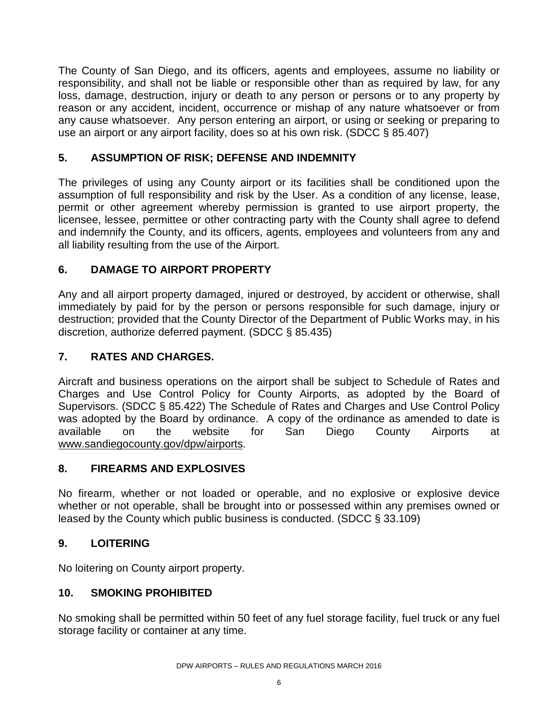The County of San Diego, and its officers, agents and employees, assume no liability or responsibility, and shall not be liable or responsible other than as required by law, for any loss, damage, destruction, injury or death to any person or persons or to any property by reason or any accident, incident, occurrence or mishap of any nature whatsoever or from any cause whatsoever. Any person entering an airport, or using or seeking or preparing to use an airport or any airport facility, does so at his own risk. (SDCC § 85.407)

#### **5. ASSUMPTION OF RISK; DEFENSE AND INDEMNITY**

The privileges of using any County airport or its facilities shall be conditioned upon the assumption of full responsibility and risk by the User. As a condition of any license, lease, permit or other agreement whereby permission is granted to use airport property, the licensee, lessee, permittee or other contracting party with the County shall agree to defend and indemnify the County, and its officers, agents, employees and volunteers from any and all liability resulting from the use of the Airport.

#### **6. DAMAGE TO AIRPORT PROPERTY**

Any and all airport property damaged, injured or destroyed, by accident or otherwise, shall immediately by paid for by the person or persons responsible for such damage, injury or destruction; provided that the County Director of the Department of Public Works may, in his discretion, authorize deferred payment. (SDCC § 85.435)

#### **7. RATES AND CHARGES.**

Aircraft and business operations on the airport shall be subject to Schedule of Rates and Charges and Use Control Policy for County Airports, as adopted by the Board of Supervisors. (SDCC § 85.422) The Schedule of Rates and Charges and Use Control Policy was adopted by the Board by ordinance. A copy of the ordinance as amended to date is available on the website for San Diego County Airports at [www.sandiegocounty.gov/dpw/airports.](http://www.sandiegocounty.gov/dpw/airports)

#### **8. FIREARMS AND EXPLOSIVES**

No firearm, whether or not loaded or operable, and no explosive or explosive device whether or not operable, shall be brought into or possessed within any premises owned or leased by the County which public business is conducted. (SDCC § 33.109)

#### **9. LOITERING**

No loitering on County airport property.

#### **10. SMOKING PROHIBITED**

No smoking shall be permitted within 50 feet of any fuel storage facility, fuel truck or any fuel storage facility or container at any time.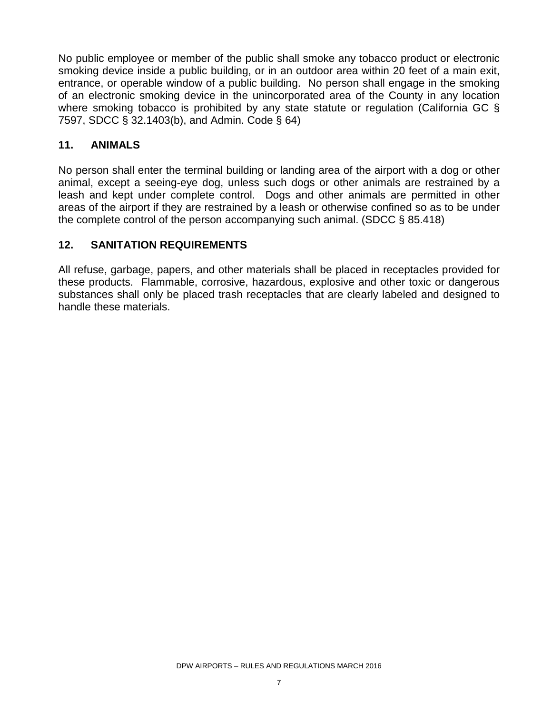No public employee or member of the public shall smoke any tobacco product or electronic smoking device inside a public building, or in an outdoor area within 20 feet of a main exit, entrance, or operable window of a public building. No person shall engage in the smoking of an electronic smoking device in the unincorporated area of the County in any location where smoking tobacco is prohibited by any state statute or regulation (California GC § 7597, SDCC § 32.1403(b), and Admin. Code § 64)

#### **11. ANIMALS**

No person shall enter the terminal building or landing area of the airport with a dog or other animal, except a seeing-eye dog, unless such dogs or other animals are restrained by a leash and kept under complete control. Dogs and other animals are permitted in other areas of the airport if they are restrained by a leash or otherwise confined so as to be under the complete control of the person accompanying such animal. (SDCC § 85.418)

#### **12. SANITATION REQUIREMENTS**

All refuse, garbage, papers, and other materials shall be placed in receptacles provided for these products. Flammable, corrosive, hazardous, explosive and other toxic or dangerous substances shall only be placed trash receptacles that are clearly labeled and designed to handle these materials.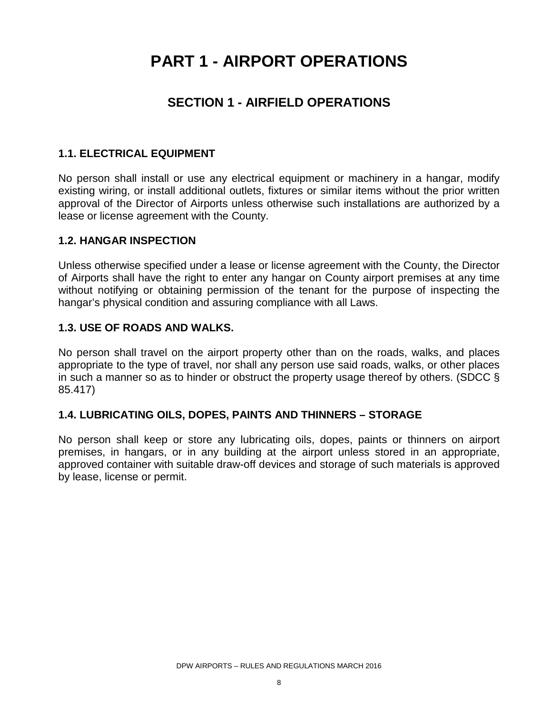# **PART 1 - AIRPORT OPERATIONS**

### **SECTION 1 - AIRFIELD OPERATIONS**

#### **1.1. ELECTRICAL EQUIPMENT**

No person shall install or use any electrical equipment or machinery in a hangar, modify existing wiring, or install additional outlets, fixtures or similar items without the prior written approval of the Director of Airports unless otherwise such installations are authorized by a lease or license agreement with the County.

#### **1.2. HANGAR INSPECTION**

Unless otherwise specified under a lease or license agreement with the County, the Director of Airports shall have the right to enter any hangar on County airport premises at any time without notifying or obtaining permission of the tenant for the purpose of inspecting the hangar's physical condition and assuring compliance with all Laws.

#### **1.3. USE OF ROADS AND WALKS.**

No person shall travel on the airport property other than on the roads, walks, and places appropriate to the type of travel, nor shall any person use said roads, walks, or other places in such a manner so as to hinder or obstruct the property usage thereof by others. (SDCC § 85.417)

#### **1.4. LUBRICATING OILS, DOPES, PAINTS AND THINNERS – STORAGE**

No person shall keep or store any lubricating oils, dopes, paints or thinners on airport premises, in hangars, or in any building at the airport unless stored in an appropriate, approved container with suitable draw-off devices and storage of such materials is approved by lease, license or permit.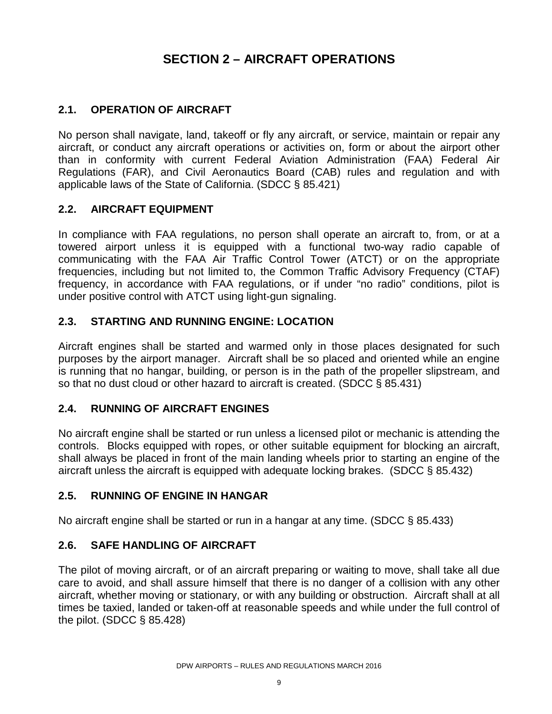### **SECTION 2 – AIRCRAFT OPERATIONS**

#### **2.1. OPERATION OF AIRCRAFT**

No person shall navigate, land, takeoff or fly any aircraft, or service, maintain or repair any aircraft, or conduct any aircraft operations or activities on, form or about the airport other than in conformity with current Federal Aviation Administration (FAA) Federal Air Regulations (FAR), and Civil Aeronautics Board (CAB) rules and regulation and with applicable laws of the State of California. (SDCC § 85.421)

#### **2.2. AIRCRAFT EQUIPMENT**

In compliance with FAA regulations, no person shall operate an aircraft to, from, or at a towered airport unless it is equipped with a functional two-way radio capable of communicating with the FAA Air Traffic Control Tower (ATCT) or on the appropriate frequencies, including but not limited to, the Common Traffic Advisory Frequency (CTAF) frequency, in accordance with FAA regulations, or if under "no radio" conditions, pilot is under positive control with ATCT using light-gun signaling.

#### **2.3. STARTING AND RUNNING ENGINE: LOCATION**

Aircraft engines shall be started and warmed only in those places designated for such purposes by the airport manager. Aircraft shall be so placed and oriented while an engine is running that no hangar, building, or person is in the path of the propeller slipstream, and so that no dust cloud or other hazard to aircraft is created. (SDCC § 85.431)

#### **2.4. RUNNING OF AIRCRAFT ENGINES**

No aircraft engine shall be started or run unless a licensed pilot or mechanic is attending the controls. Blocks equipped with ropes, or other suitable equipment for blocking an aircraft, shall always be placed in front of the main landing wheels prior to starting an engine of the aircraft unless the aircraft is equipped with adequate locking brakes. (SDCC § 85.432)

#### **2.5. RUNNING OF ENGINE IN HANGAR**

No aircraft engine shall be started or run in a hangar at any time. (SDCC § 85.433)

#### **2.6. SAFE HANDLING OF AIRCRAFT**

The pilot of moving aircraft, or of an aircraft preparing or waiting to move, shall take all due care to avoid, and shall assure himself that there is no danger of a collision with any other aircraft, whether moving or stationary, or with any building or obstruction. Aircraft shall at all times be taxied, landed or taken-off at reasonable speeds and while under the full control of the pilot. (SDCC § 85.428)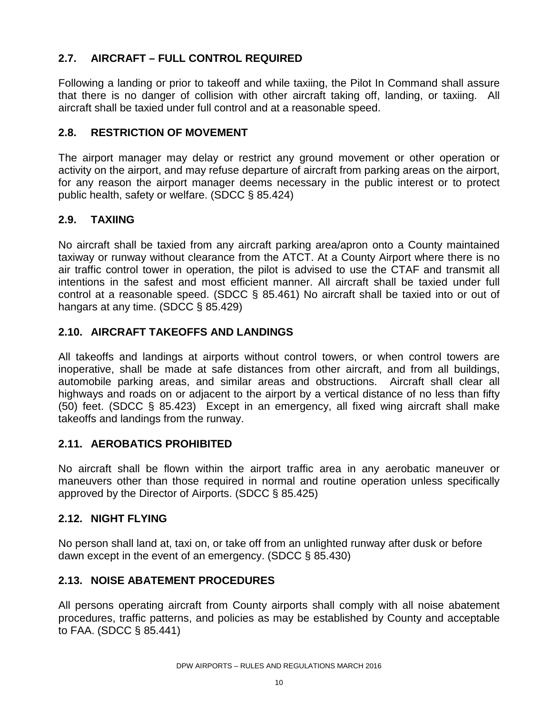#### **2.7. AIRCRAFT – FULL CONTROL REQUIRED**

Following a landing or prior to takeoff and while taxiing, the Pilot In Command shall assure that there is no danger of collision with other aircraft taking off, landing, or taxiing. All aircraft shall be taxied under full control and at a reasonable speed.

#### **2.8. RESTRICTION OF MOVEMENT**

The airport manager may delay or restrict any ground movement or other operation or activity on the airport, and may refuse departure of aircraft from parking areas on the airport, for any reason the airport manager deems necessary in the public interest or to protect public health, safety or welfare. (SDCC § 85.424)

#### **2.9. TAXIING**

No aircraft shall be taxied from any aircraft parking area/apron onto a County maintained taxiway or runway without clearance from the ATCT. At a County Airport where there is no air traffic control tower in operation, the pilot is advised to use the CTAF and transmit all intentions in the safest and most efficient manner. All aircraft shall be taxied under full control at a reasonable speed. (SDCC § 85.461) No aircraft shall be taxied into or out of hangars at any time. (SDCC § 85.429)

#### **2.10. AIRCRAFT TAKEOFFS AND LANDINGS**

All takeoffs and landings at airports without control towers, or when control towers are inoperative, shall be made at safe distances from other aircraft, and from all buildings, automobile parking areas, and similar areas and obstructions. Aircraft shall clear all highways and roads on or adjacent to the airport by a vertical distance of no less than fifty (50) feet. (SDCC § 85.423) Except in an emergency, all fixed wing aircraft shall make takeoffs and landings from the runway.

#### **2.11. AEROBATICS PROHIBITED**

No aircraft shall be flown within the airport traffic area in any aerobatic maneuver or maneuvers other than those required in normal and routine operation unless specifically approved by the Director of Airports. (SDCC § 85.425)

#### **2.12. NIGHT FLYING**

No person shall land at, taxi on, or take off from an unlighted runway after dusk or before dawn except in the event of an emergency. (SDCC § 85.430)

#### **2.13. NOISE ABATEMENT PROCEDURES**

All persons operating aircraft from County airports shall comply with all noise abatement procedures, traffic patterns, and policies as may be established by County and acceptable to FAA. (SDCC § 85.441)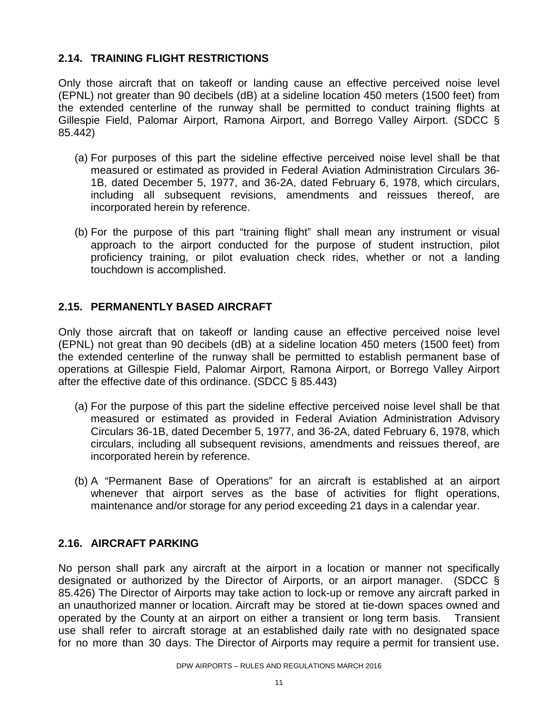#### **2.14. TRAINING FLIGHT RESTRICTIONS**

Only those aircraft that on takeoff or landing cause an effective perceived noise level (EPNL) not greater than 90 decibels (dB) at a sideline location 450 meters (1500 feet) from the extended centerline of the runway shall be permitted to conduct training flights at Gillespie Field, Palomar Airport, Ramona Airport, and Borrego Valley Airport. (SDCC § 85.442)

- (a) For purposes of this part the sideline effective perceived noise level shall be that measured or estimated as provided in Federal Aviation Administration Circulars 36- 1B, dated December 5, 1977, and 36-2A, dated February 6, 1978, which circulars, including all subsequent revisions, amendments and reissues thereof, are incorporated herein by reference.
- (b) For the purpose of this part "training flight" shall mean any instrument or visual approach to the airport conducted for the purpose of student instruction, pilot proficiency training, or pilot evaluation check rides, whether or not a landing touchdown is accomplished.

#### **2.15. PERMANENTLY BASED AIRCRAFT**

Only those aircraft that on takeoff or landing cause an effective perceived noise level (EPNL) not great than 90 decibels (dB) at a sideline location 450 meters (1500 feet) from the extended centerline of the runway shall be permitted to establish permanent base of operations at Gillespie Field, Palomar Airport, Ramona Airport, or Borrego Valley Airport after the effective date of this ordinance. (SDCC § 85.443)

- (a) For the purpose of this part the sideline effective perceived noise level shall be that measured or estimated as provided in Federal Aviation Administration Advisory Circulars 36-1B, dated December 5, 1977, and 36-2A, dated February 6, 1978, which circulars, including all subsequent revisions, amendments and reissues thereof, are incorporated herein by reference.
- (b) A "Permanent Base of Operations" for an aircraft is established at an airport whenever that airport serves as the base of activities for flight operations, maintenance and/or storage for any period exceeding 21 days in a calendar year.

#### **2.16. AIRCRAFT PARKING**

No person shall park any aircraft at the airport in a location or manner not specifically designated or authorized by the Director of Airports, or an airport manager. (SDCC § 85.426) The Director of Airports may take action to lock-up or remove any aircraft parked in an unauthorized manner or location. Aircraft may be stored at tie-down spaces owned and operated by the County at an airport on either a transient or long term basis. Transient use shall refer to aircraft storage at an established daily rate with no designated space for no more than 30 days. The Director of Airports may require a permit for transient use.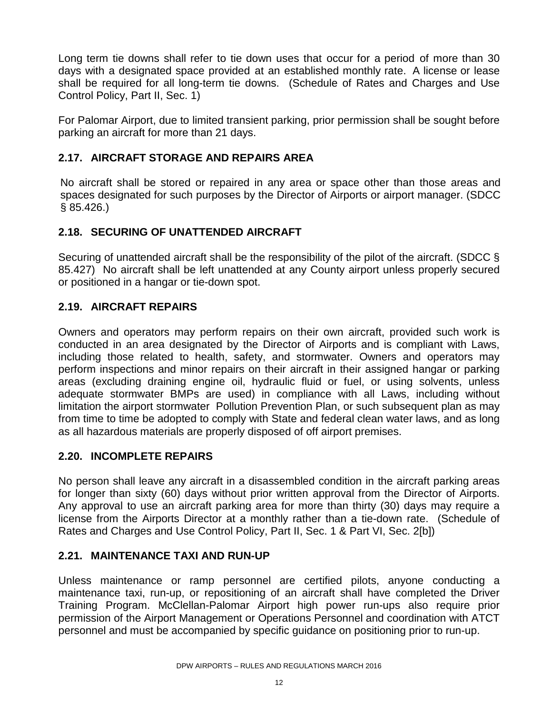Long term tie downs shall refer to tie down uses that occur for a period of more than 30 days with a designated space provided at an established monthly rate. A license or lease shall be required for all long-term tie downs. (Schedule of Rates and Charges and Use Control Policy, Part II, Sec. 1)

For Palomar Airport, due to limited transient parking, prior permission shall be sought before parking an aircraft for more than 21 days.

#### **2.17. AIRCRAFT STORAGE AND REPAIRS AREA**

No aircraft shall be stored or repaired in any area or space other than those areas and spaces designated for such purposes by the Director of Airports or airport manager. (SDCC § 85.426.)

#### **2.18. SECURING OF UNATTENDED AIRCRAFT**

Securing of unattended aircraft shall be the responsibility of the pilot of the aircraft. (SDCC § 85.427) No aircraft shall be left unattended at any County airport unless properly secured or positioned in a hangar or tie-down spot.

#### **2.19. AIRCRAFT REPAIRS**

Owners and operators may perform repairs on their own aircraft, provided such work is conducted in an area designated by the Director of Airports and is compliant with Laws, including those related to health, safety, and stormwater. Owners and operators may perform inspections and minor repairs on their aircraft in their assigned hangar or parking areas (excluding draining engine oil, hydraulic fluid or fuel, or using solvents, unless adequate stormwater BMPs are used) in compliance with all Laws, including without limitation the airport stormwater Pollution Prevention Plan, or such subsequent plan as may from time to time be adopted to comply with State and federal clean water laws, and as long as all hazardous materials are properly disposed of off airport premises.

#### **2.20. INCOMPLETE REPAIRS**

No person shall leave any aircraft in a disassembled condition in the aircraft parking areas for longer than sixty (60) days without prior written approval from the Director of Airports. Any approval to use an aircraft parking area for more than thirty (30) days may require a license from the Airports Director at a monthly rather than a tie-down rate. (Schedule of Rates and Charges and Use Control Policy, Part II, Sec. 1 & Part VI, Sec. 2[b])

#### **2.21. MAINTENANCE TAXI AND RUN-UP**

Unless maintenance or ramp personnel are certified pilots, anyone conducting a maintenance taxi, run-up, or repositioning of an aircraft shall have completed the Driver Training Program. McClellan-Palomar Airport high power run-ups also require prior permission of the Airport Management or Operations Personnel and coordination with ATCT personnel and must be accompanied by specific guidance on positioning prior to run-up.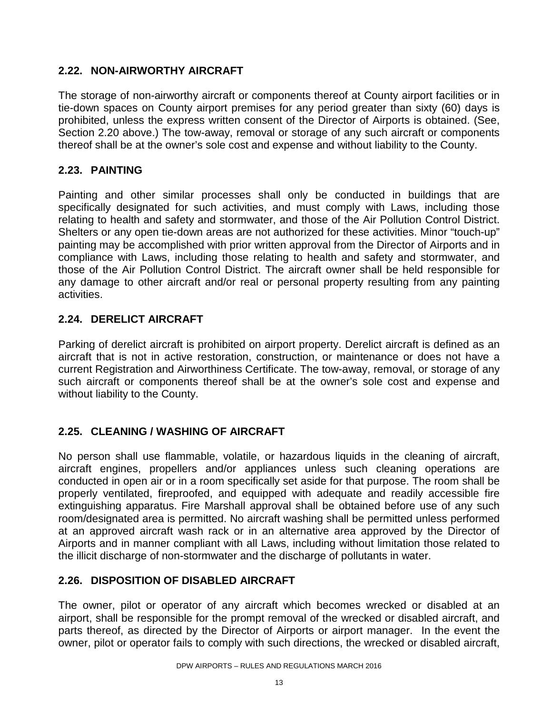#### **2.22. NON-AIRWORTHY AIRCRAFT**

The storage of non-airworthy aircraft or components thereof at County airport facilities or in tie-down spaces on County airport premises for any period greater than sixty (60) days is prohibited, unless the express written consent of the Director of Airports is obtained. (See, Section 2.20 above.) The tow-away, removal or storage of any such aircraft or components thereof shall be at the owner's sole cost and expense and without liability to the County.

#### **2.23. PAINTING**

Painting and other similar processes shall only be conducted in buildings that are specifically designated for such activities, and must comply with Laws, including those relating to health and safety and stormwater, and those of the Air Pollution Control District. Shelters or any open tie-down areas are not authorized for these activities. Minor "touch-up" painting may be accomplished with prior written approval from the Director of Airports and in compliance with Laws, including those relating to health and safety and stormwater, and those of the Air Pollution Control District. The aircraft owner shall be held responsible for any damage to other aircraft and/or real or personal property resulting from any painting activities.

#### **2.24. DERELICT AIRCRAFT**

Parking of derelict aircraft is prohibited on airport property. Derelict aircraft is defined as an aircraft that is not in active restoration, construction, or maintenance or does not have a current Registration and Airworthiness Certificate. The tow-away, removal, or storage of any such aircraft or components thereof shall be at the owner's sole cost and expense and without liability to the County.

#### **2.25. CLEANING / WASHING OF AIRCRAFT**

No person shall use flammable, volatile, or hazardous liquids in the cleaning of aircraft, aircraft engines, propellers and/or appliances unless such cleaning operations are conducted in open air or in a room specifically set aside for that purpose. The room shall be properly ventilated, fireproofed, and equipped with adequate and readily accessible fire extinguishing apparatus. Fire Marshall approval shall be obtained before use of any such room/designated area is permitted. No aircraft washing shall be permitted unless performed at an approved aircraft wash rack or in an alternative area approved by the Director of Airports and in manner compliant with all Laws, including without limitation those related to the illicit discharge of non-stormwater and the discharge of pollutants in water.

#### **2.26. DISPOSITION OF DISABLED AIRCRAFT**

The owner, pilot or operator of any aircraft which becomes wrecked or disabled at an airport, shall be responsible for the prompt removal of the wrecked or disabled aircraft, and parts thereof, as directed by the Director of Airports or airport manager. In the event the owner, pilot or operator fails to comply with such directions, the wrecked or disabled aircraft,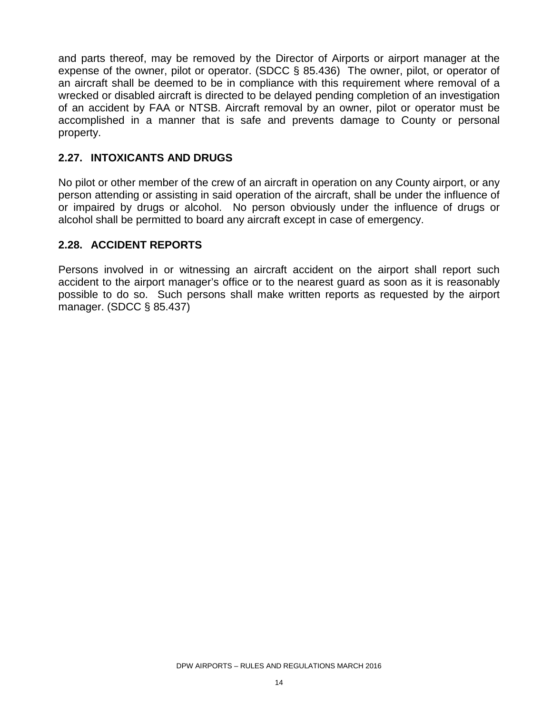and parts thereof, may be removed by the Director of Airports or airport manager at the expense of the owner, pilot or operator. (SDCC § 85.436) The owner, pilot, or operator of an aircraft shall be deemed to be in compliance with this requirement where removal of a wrecked or disabled aircraft is directed to be delayed pending completion of an investigation of an accident by FAA or NTSB. Aircraft removal by an owner, pilot or operator must be accomplished in a manner that is safe and prevents damage to County or personal property.

#### **2.27. INTOXICANTS AND DRUGS**

No pilot or other member of the crew of an aircraft in operation on any County airport, or any person attending or assisting in said operation of the aircraft, shall be under the influence of or impaired by drugs or alcohol. No person obviously under the influence of drugs or alcohol shall be permitted to board any aircraft except in case of emergency.

#### **2.28. ACCIDENT REPORTS**

Persons involved in or witnessing an aircraft accident on the airport shall report such accident to the airport manager's office or to the nearest guard as soon as it is reasonably possible to do so. Such persons shall make written reports as requested by the airport manager. (SDCC § 85.437)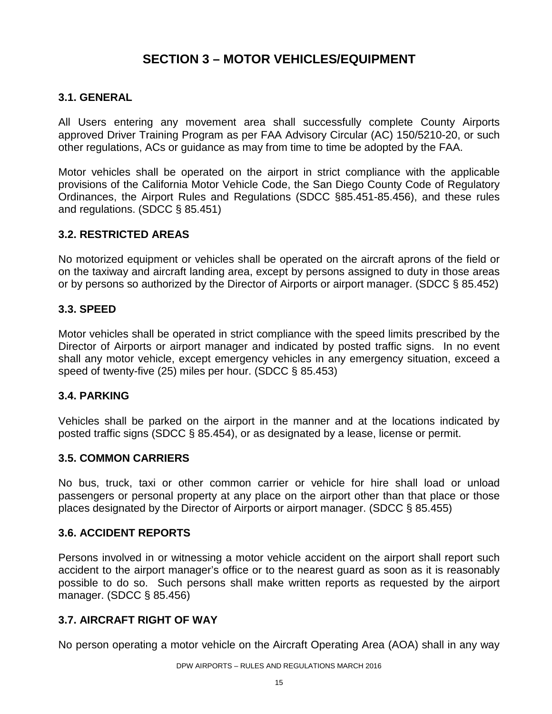### **SECTION 3 – MOTOR VEHICLES/EQUIPMENT**

#### **3.1. GENERAL**

All Users entering any movement area shall successfully complete County Airports approved Driver Training Program as per FAA Advisory Circular (AC) 150/5210-20, or such other regulations, ACs or guidance as may from time to time be adopted by the FAA.

Motor vehicles shall be operated on the airport in strict compliance with the applicable provisions of the California Motor Vehicle Code, the San Diego County Code of Regulatory Ordinances, the Airport Rules and Regulations (SDCC §85.451-85.456), and these rules and regulations. (SDCC § 85.451)

#### **3.2. RESTRICTED AREAS**

No motorized equipment or vehicles shall be operated on the aircraft aprons of the field or on the taxiway and aircraft landing area, except by persons assigned to duty in those areas or by persons so authorized by the Director of Airports or airport manager. (SDCC § 85.452)

#### **3.3. SPEED**

Motor vehicles shall be operated in strict compliance with the speed limits prescribed by the Director of Airports or airport manager and indicated by posted traffic signs. In no event shall any motor vehicle, except emergency vehicles in any emergency situation, exceed a speed of twenty-five (25) miles per hour. (SDCC § 85.453)

#### **3.4. PARKING**

Vehicles shall be parked on the airport in the manner and at the locations indicated by posted traffic signs (SDCC § 85.454), or as designated by a lease, license or permit.

#### **3.5. COMMON CARRIERS**

No bus, truck, taxi or other common carrier or vehicle for hire shall load or unload passengers or personal property at any place on the airport other than that place or those places designated by the Director of Airports or airport manager. (SDCC § 85.455)

#### **3.6. ACCIDENT REPORTS**

Persons involved in or witnessing a motor vehicle accident on the airport shall report such accident to the airport manager's office or to the nearest guard as soon as it is reasonably possible to do so. Such persons shall make written reports as requested by the airport manager. (SDCC § 85.456)

#### **3.7. AIRCRAFT RIGHT OF WAY**

No person operating a motor vehicle on the Aircraft Operating Area (AOA) shall in any way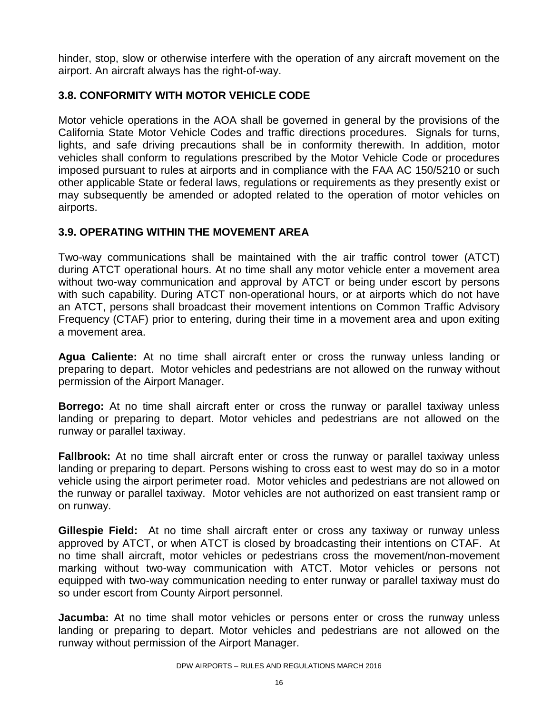hinder, stop, slow or otherwise interfere with the operation of any aircraft movement on the airport. An aircraft always has the right-of-way.

#### **3.8. CONFORMITY WITH MOTOR VEHICLE CODE**

Motor vehicle operations in the AOA shall be governed in general by the provisions of the California State Motor Vehicle Codes and traffic directions procedures. Signals for turns, lights, and safe driving precautions shall be in conformity therewith. In addition, motor vehicles shall conform to regulations prescribed by the Motor Vehicle Code or procedures imposed pursuant to rules at airports and in compliance with the FAA AC 150/5210 or such other applicable State or federal laws, regulations or requirements as they presently exist or may subsequently be amended or adopted related to the operation of motor vehicles on airports.

#### **3.9. OPERATING WITHIN THE MOVEMENT AREA**

Two-way communications shall be maintained with the air traffic control tower (ATCT) during ATCT operational hours. At no time shall any motor vehicle enter a movement area without two-way communication and approval by ATCT or being under escort by persons with such capability. During ATCT non-operational hours, or at airports which do not have an ATCT, persons shall broadcast their movement intentions on Common Traffic Advisory Frequency (CTAF) prior to entering, during their time in a movement area and upon exiting a movement area.

**Agua Caliente:** At no time shall aircraft enter or cross the runway unless landing or preparing to depart. Motor vehicles and pedestrians are not allowed on the runway without permission of the Airport Manager.

**Borrego:** At no time shall aircraft enter or cross the runway or parallel taxiway unless landing or preparing to depart. Motor vehicles and pedestrians are not allowed on the runway or parallel taxiway.

**Fallbrook:** At no time shall aircraft enter or cross the runway or parallel taxiway unless landing or preparing to depart. Persons wishing to cross east to west may do so in a motor vehicle using the airport perimeter road. Motor vehicles and pedestrians are not allowed on the runway or parallel taxiway. Motor vehicles are not authorized on east transient ramp or on runway.

**Gillespie Field:** At no time shall aircraft enter or cross any taxiway or runway unless approved by ATCT, or when ATCT is closed by broadcasting their intentions on CTAF. At no time shall aircraft, motor vehicles or pedestrians cross the movement/non-movement marking without two-way communication with ATCT. Motor vehicles or persons not equipped with two-way communication needing to enter runway or parallel taxiway must do so under escort from County Airport personnel.

**Jacumba:** At no time shall motor vehicles or persons enter or cross the runway unless landing or preparing to depart. Motor vehicles and pedestrians are not allowed on the runway without permission of the Airport Manager.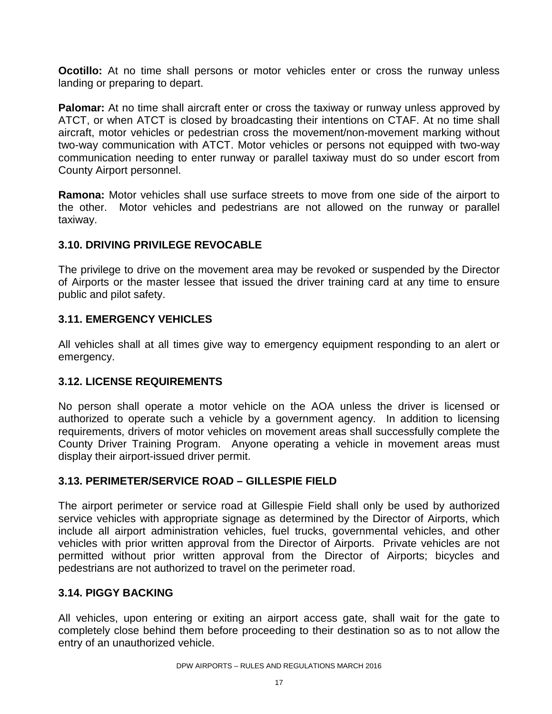**Ocotillo:** At no time shall persons or motor vehicles enter or cross the runway unless landing or preparing to depart.

**Palomar:** At no time shall aircraft enter or cross the taxiway or runway unless approved by ATCT, or when ATCT is closed by broadcasting their intentions on CTAF. At no time shall aircraft, motor vehicles or pedestrian cross the movement/non-movement marking without two-way communication with ATCT. Motor vehicles or persons not equipped with two-way communication needing to enter runway or parallel taxiway must do so under escort from County Airport personnel.

**Ramona:** Motor vehicles shall use surface streets to move from one side of the airport to the other. Motor vehicles and pedestrians are not allowed on the runway or parallel taxiway.

#### **3.10. DRIVING PRIVILEGE REVOCABLE**

The privilege to drive on the movement area may be revoked or suspended by the Director of Airports or the master lessee that issued the driver training card at any time to ensure public and pilot safety.

#### **3.11. EMERGENCY VEHICLES**

All vehicles shall at all times give way to emergency equipment responding to an alert or emergency.

#### **3.12. LICENSE REQUIREMENTS**

No person shall operate a motor vehicle on the AOA unless the driver is licensed or authorized to operate such a vehicle by a government agency. In addition to licensing requirements, drivers of motor vehicles on movement areas shall successfully complete the County Driver Training Program. Anyone operating a vehicle in movement areas must display their airport-issued driver permit.

#### **3.13. PERIMETER/SERVICE ROAD – GILLESPIE FIELD**

The airport perimeter or service road at Gillespie Field shall only be used by authorized service vehicles with appropriate signage as determined by the Director of Airports, which include all airport administration vehicles, fuel trucks, governmental vehicles, and other vehicles with prior written approval from the Director of Airports. Private vehicles are not permitted without prior written approval from the Director of Airports; bicycles and pedestrians are not authorized to travel on the perimeter road.

#### **3.14. PIGGY BACKING**

All vehicles, upon entering or exiting an airport access gate, shall wait for the gate to completely close behind them before proceeding to their destination so as to not allow the entry of an unauthorized vehicle.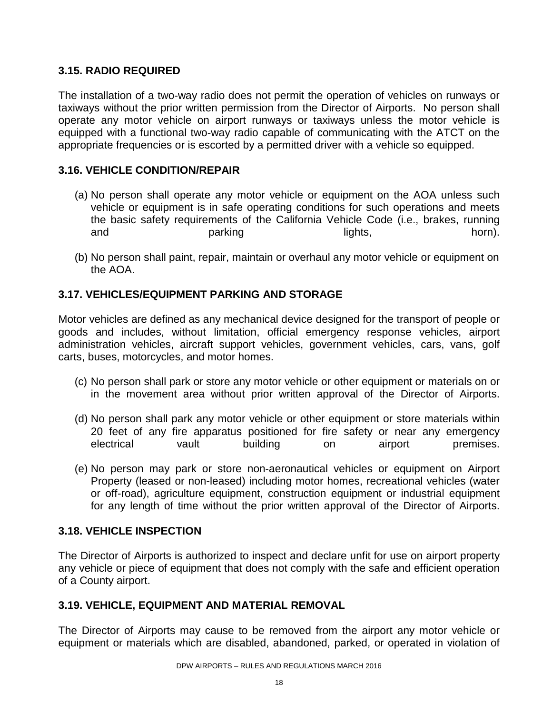#### **3.15. RADIO REQUIRED**

The installation of a two-way radio does not permit the operation of vehicles on runways or taxiways without the prior written permission from the Director of Airports. No person shall operate any motor vehicle on airport runways or taxiways unless the motor vehicle is equipped with a functional two-way radio capable of communicating with the ATCT on the appropriate frequencies or is escorted by a permitted driver with a vehicle so equipped.

#### **3.16. VEHICLE CONDITION/REPAIR**

- (a) No person shall operate any motor vehicle or equipment on the AOA unless such vehicle or equipment is in safe operating conditions for such operations and meets the basic safety requirements of the California Vehicle Code (i.e., brakes, running and parking lights, horn).
- (b) No person shall paint, repair, maintain or overhaul any motor vehicle or equipment on the AOA.

#### **3.17. VEHICLES/EQUIPMENT PARKING AND STORAGE**

Motor vehicles are defined as any mechanical device designed for the transport of people or goods and includes, without limitation, official emergency response vehicles, airport administration vehicles, aircraft support vehicles, government vehicles, cars, vans, golf carts, buses, motorcycles, and motor homes.

- (c) No person shall park or store any motor vehicle or other equipment or materials on or in the movement area without prior written approval of the Director of Airports.
- (d) No person shall park any motor vehicle or other equipment or store materials within 20 feet of any fire apparatus positioned for fire safety or near any emergency electrical vault building on airport premises.
- (e) No person may park or store non-aeronautical vehicles or equipment on Airport Property (leased or non-leased) including motor homes, recreational vehicles (water or off-road), agriculture equipment, construction equipment or industrial equipment for any length of time without the prior written approval of the Director of Airports.

#### **3.18. VEHICLE INSPECTION**

The Director of Airports is authorized to inspect and declare unfit for use on airport property any vehicle or piece of equipment that does not comply with the safe and efficient operation of a County airport.

#### **3.19. VEHICLE, EQUIPMENT AND MATERIAL REMOVAL**

The Director of Airports may cause to be removed from the airport any motor vehicle or equipment or materials which are disabled, abandoned, parked, or operated in violation of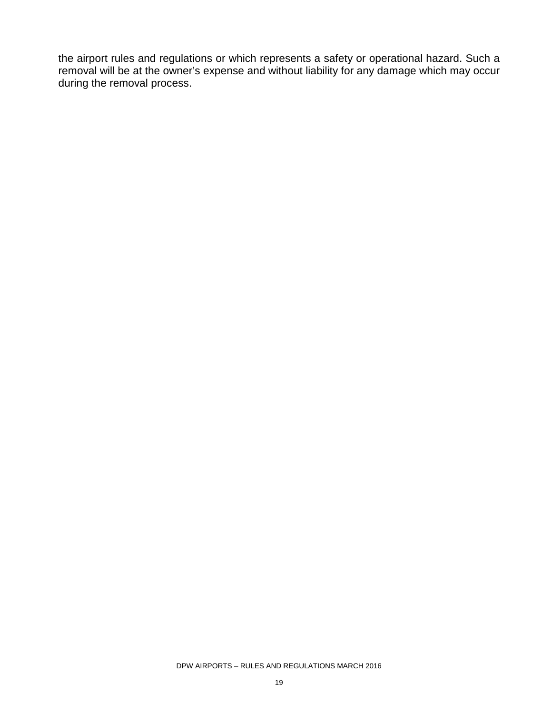the airport rules and regulations or which represents a safety or operational hazard. Such a removal will be at the owner's expense and without liability for any damage which may occur during the removal process.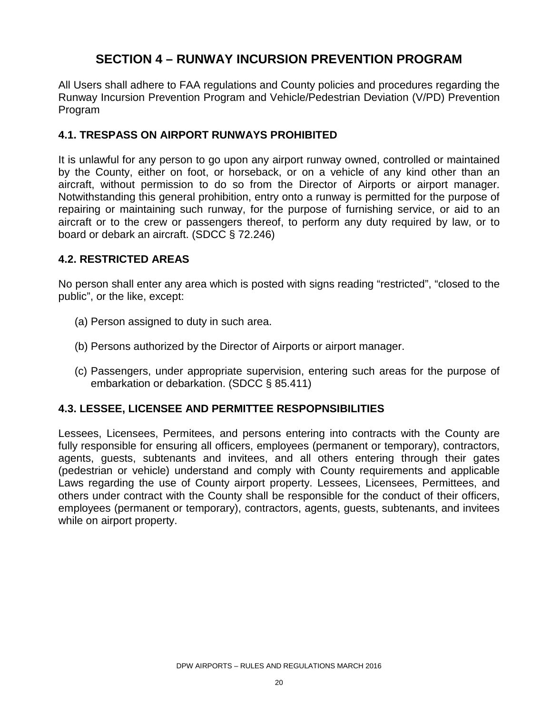### **SECTION 4 – RUNWAY INCURSION PREVENTION PROGRAM**

All Users shall adhere to FAA regulations and County policies and procedures regarding the Runway Incursion Prevention Program and Vehicle/Pedestrian Deviation (V/PD) Prevention Program

#### **4.1. TRESPASS ON AIRPORT RUNWAYS PROHIBITED**

It is unlawful for any person to go upon any airport runway owned, controlled or maintained by the County, either on foot, or horseback, or on a vehicle of any kind other than an aircraft, without permission to do so from the Director of Airports or airport manager. Notwithstanding this general prohibition, entry onto a runway is permitted for the purpose of repairing or maintaining such runway, for the purpose of furnishing service, or aid to an aircraft or to the crew or passengers thereof, to perform any duty required by law, or to board or debark an aircraft. (SDCC § 72.246)

#### **4.2. RESTRICTED AREAS**

No person shall enter any area which is posted with signs reading "restricted", "closed to the public", or the like, except:

- (a) Person assigned to duty in such area.
- (b) Persons authorized by the Director of Airports or airport manager.
- (c) Passengers, under appropriate supervision, entering such areas for the purpose of embarkation or debarkation. (SDCC § 85.411)

#### **4.3. LESSEE, LICENSEE AND PERMITTEE RESPOPNSIBILITIES**

Lessees, Licensees, Permitees, and persons entering into contracts with the County are fully responsible for ensuring all officers, employees (permanent or temporary), contractors, agents, guests, subtenants and invitees, and all others entering through their gates (pedestrian or vehicle) understand and comply with County requirements and applicable Laws regarding the use of County airport property. Lessees, Licensees, Permittees, and others under contract with the County shall be responsible for the conduct of their officers, employees (permanent or temporary), contractors, agents, guests, subtenants, and invitees while on airport property.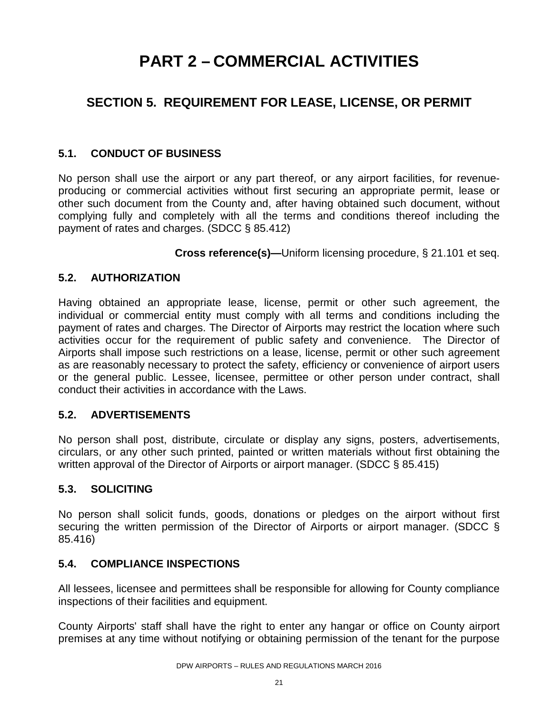# **PART 2 – COMMERCIAL ACTIVITIES**

## **SECTION 5. REQUIREMENT FOR LEASE, LICENSE, OR PERMIT**

#### **5.1. CONDUCT OF BUSINESS**

No person shall use the airport or any part thereof, or any airport facilities, for revenueproducing or commercial activities without first securing an appropriate permit, lease or other such document from the County and, after having obtained such document, without complying fully and completely with all the terms and conditions thereof including the payment of rates and charges. (SDCC § 85.412)

**Cross reference(s)—**Uniform licensing procedure, § 21.101 et seq.

#### **5.2. AUTHORIZATION**

Having obtained an appropriate lease, license, permit or other such agreement, the individual or commercial entity must comply with all terms and conditions including the payment of rates and charges. The Director of Airports may restrict the location where such activities occur for the requirement of public safety and convenience. The Director of Airports shall impose such restrictions on a lease, license, permit or other such agreement as are reasonably necessary to protect the safety, efficiency or convenience of airport users or the general public. Lessee, licensee, permittee or other person under contract, shall conduct their activities in accordance with the Laws.

#### **5.2. ADVERTISEMENTS**

No person shall post, distribute, circulate or display any signs, posters, advertisements, circulars, or any other such printed, painted or written materials without first obtaining the written approval of the Director of Airports or airport manager. (SDCC § 85.415)

#### **5.3. SOLICITING**

No person shall solicit funds, goods, donations or pledges on the airport without first securing the written permission of the Director of Airports or airport manager. (SDCC § 85.416)

#### **5.4. COMPLIANCE INSPECTIONS**

All lessees, licensee and permittees shall be responsible for allowing for County compliance inspections of their facilities and equipment.

County Airports' staff shall have the right to enter any hangar or office on County airport premises at any time without notifying or obtaining permission of the tenant for the purpose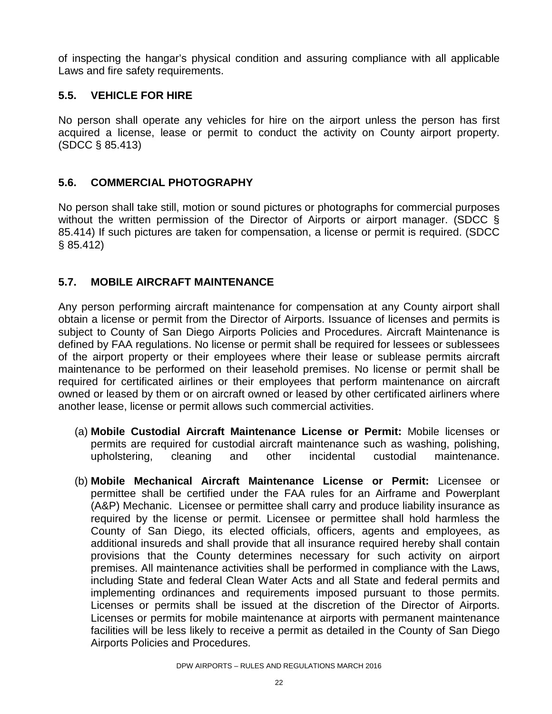of inspecting the hangar's physical condition and assuring compliance with all applicable Laws and fire safety requirements.

#### **5.5. VEHICLE FOR HIRE**

No person shall operate any vehicles for hire on the airport unless the person has first acquired a license, lease or permit to conduct the activity on County airport property. (SDCC § 85.413)

#### **5.6. COMMERCIAL PHOTOGRAPHY**

No person shall take still, motion or sound pictures or photographs for commercial purposes without the written permission of the Director of Airports or airport manager. (SDCC § 85.414) If such pictures are taken for compensation, a license or permit is required. (SDCC § 85.412)

#### **5.7. MOBILE AIRCRAFT MAINTENANCE**

Any person performing aircraft maintenance for compensation at any County airport shall obtain a license or permit from the Director of Airports. Issuance of licenses and permits is subject to County of San Diego Airports Policies and Procedures. Aircraft Maintenance is defined by FAA regulations. No license or permit shall be required for lessees or sublessees of the airport property or their employees where their lease or sublease permits aircraft maintenance to be performed on their leasehold premises. No license or permit shall be required for certificated airlines or their employees that perform maintenance on aircraft owned or leased by them or on aircraft owned or leased by other certificated airliners where another lease, license or permit allows such commercial activities.

- (a) **Mobile Custodial Aircraft Maintenance License or Permit:** Mobile licenses or permits are required for custodial aircraft maintenance such as washing, polishing, upholstering, cleaning and other incidental custodial maintenance.
- (b) **Mobile Mechanical Aircraft Maintenance License or Permit:** Licensee or permittee shall be certified under the FAA rules for an Airframe and Powerplant (A&P) Mechanic. Licensee or permittee shall carry and produce liability insurance as required by the license or permit. Licensee or permittee shall hold harmless the County of San Diego, its elected officials, officers, agents and employees, as additional insureds and shall provide that all insurance required hereby shall contain provisions that the County determines necessary for such activity on airport premises. All maintenance activities shall be performed in compliance with the Laws, including State and federal Clean Water Acts and all State and federal permits and implementing ordinances and requirements imposed pursuant to those permits. Licenses or permits shall be issued at the discretion of the Director of Airports. Licenses or permits for mobile maintenance at airports with permanent maintenance facilities will be less likely to receive a permit as detailed in the County of San Diego Airports Policies and Procedures.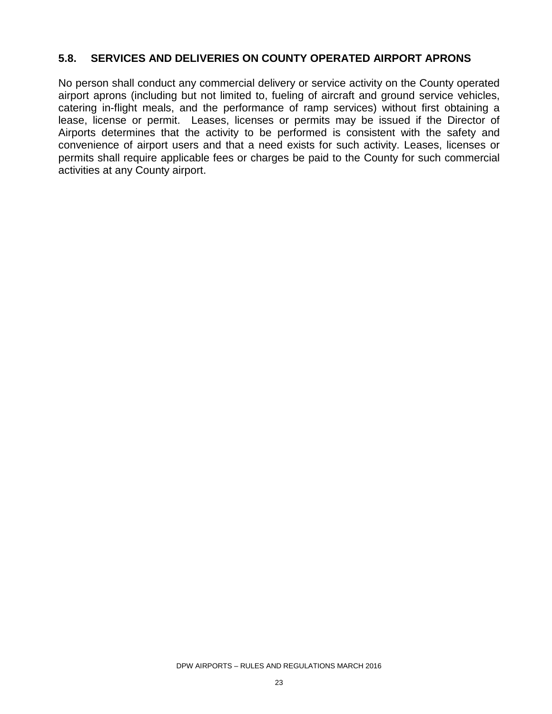#### **5.8. SERVICES AND DELIVERIES ON COUNTY OPERATED AIRPORT APRONS**

No person shall conduct any commercial delivery or service activity on the County operated airport aprons (including but not limited to, fueling of aircraft and ground service vehicles, catering in-flight meals, and the performance of ramp services) without first obtaining a lease, license or permit. Leases, licenses or permits may be issued if the Director of Airports determines that the activity to be performed is consistent with the safety and convenience of airport users and that a need exists for such activity. Leases, licenses or permits shall require applicable fees or charges be paid to the County for such commercial activities at any County airport.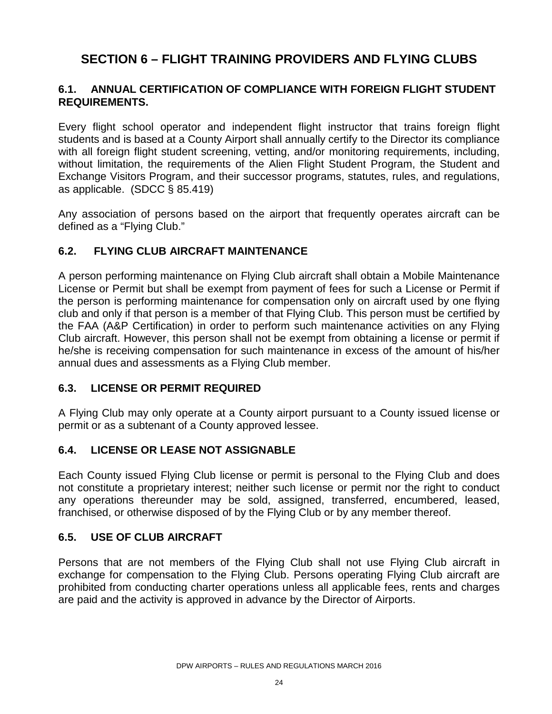### **SECTION 6 – FLIGHT TRAINING PROVIDERS AND FLYING CLUBS**

#### **6.1. ANNUAL CERTIFICATION OF COMPLIANCE WITH FOREIGN FLIGHT STUDENT REQUIREMENTS.**

Every flight school operator and independent flight instructor that trains foreign flight students and is based at a County Airport shall annually certify to the Director its compliance with all foreign flight student screening, vetting, and/or monitoring requirements, including, without limitation, the requirements of the Alien Flight Student Program, the Student and Exchange Visitors Program, and their successor programs, statutes, rules, and regulations, as applicable. (SDCC § 85.419)

Any association of persons based on the airport that frequently operates aircraft can be defined as a "Flying Club."

#### **6.2. FLYING CLUB AIRCRAFT MAINTENANCE**

A person performing maintenance on Flying Club aircraft shall obtain a Mobile Maintenance License or Permit but shall be exempt from payment of fees for such a License or Permit if the person is performing maintenance for compensation only on aircraft used by one flying club and only if that person is a member of that Flying Club. This person must be certified by the FAA (A&P Certification) in order to perform such maintenance activities on any Flying Club aircraft. However, this person shall not be exempt from obtaining a license or permit if he/she is receiving compensation for such maintenance in excess of the amount of his/her annual dues and assessments as a Flying Club member.

#### **6.3. LICENSE OR PERMIT REQUIRED**

A Flying Club may only operate at a County airport pursuant to a County issued license or permit or as a subtenant of a County approved lessee.

#### **6.4. LICENSE OR LEASE NOT ASSIGNABLE**

Each County issued Flying Club license or permit is personal to the Flying Club and does not constitute a proprietary interest; neither such license or permit nor the right to conduct any operations thereunder may be sold, assigned, transferred, encumbered, leased, franchised, or otherwise disposed of by the Flying Club or by any member thereof.

#### **6.5. USE OF CLUB AIRCRAFT**

Persons that are not members of the Flying Club shall not use Flying Club aircraft in exchange for compensation to the Flying Club. Persons operating Flying Club aircraft are prohibited from conducting charter operations unless all applicable fees, rents and charges are paid and the activity is approved in advance by the Director of Airports.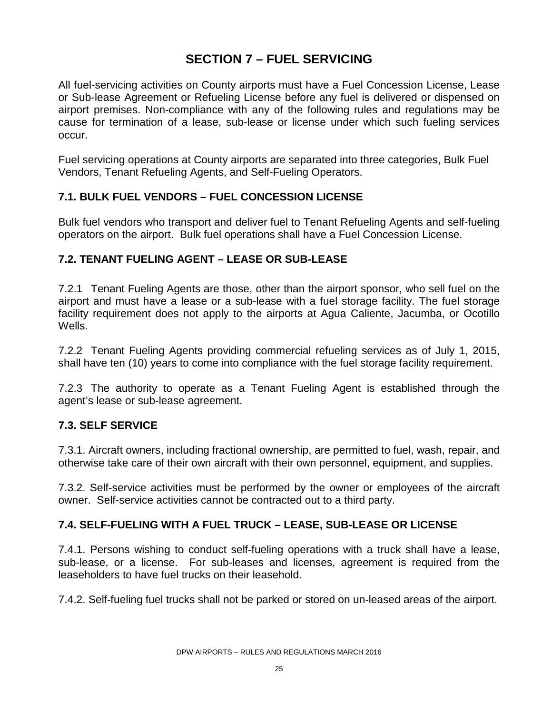### **SECTION 7 – FUEL SERVICING**

All fuel-servicing activities on County airports must have a Fuel Concession License, Lease or Sub-lease Agreement or Refueling License before any fuel is delivered or dispensed on airport premises. Non-compliance with any of the following rules and regulations may be cause for termination of a lease, sub-lease or license under which such fueling services occur.

Fuel servicing operations at County airports are separated into three categories, Bulk Fuel Vendors, Tenant Refueling Agents, and Self-Fueling Operators.

#### **7.1. BULK FUEL VENDORS – FUEL CONCESSION LICENSE**

Bulk fuel vendors who transport and deliver fuel to Tenant Refueling Agents and self-fueling operators on the airport. Bulk fuel operations shall have a Fuel Concession License.

#### **7.2. TENANT FUELING AGENT – LEASE OR SUB-LEASE**

7.2.1 Tenant Fueling Agents are those, other than the airport sponsor, who sell fuel on the airport and must have a lease or a sub-lease with a fuel storage facility. The fuel storage facility requirement does not apply to the airports at Agua Caliente, Jacumba, or Ocotillo Wells.

7.2.2 Tenant Fueling Agents providing commercial refueling services as of July 1, 2015, shall have ten (10) years to come into compliance with the fuel storage facility requirement.

7.2.3 The authority to operate as a Tenant Fueling Agent is established through the agent's lease or sub-lease agreement.

#### **7.3. SELF SERVICE**

7.3.1. Aircraft owners, including fractional ownership, are permitted to fuel, wash, repair, and otherwise take care of their own aircraft with their own personnel, equipment, and supplies.

7.3.2. Self-service activities must be performed by the owner or employees of the aircraft owner. Self-service activities cannot be contracted out to a third party.

#### **7.4. SELF-FUELING WITH A FUEL TRUCK – LEASE, SUB-LEASE OR LICENSE**

7.4.1. Persons wishing to conduct self-fueling operations with a truck shall have a lease, sub-lease, or a license. For sub-leases and licenses, agreement is required from the leaseholders to have fuel trucks on their leasehold.

7.4.2. Self-fueling fuel trucks shall not be parked or stored on un-leased areas of the airport.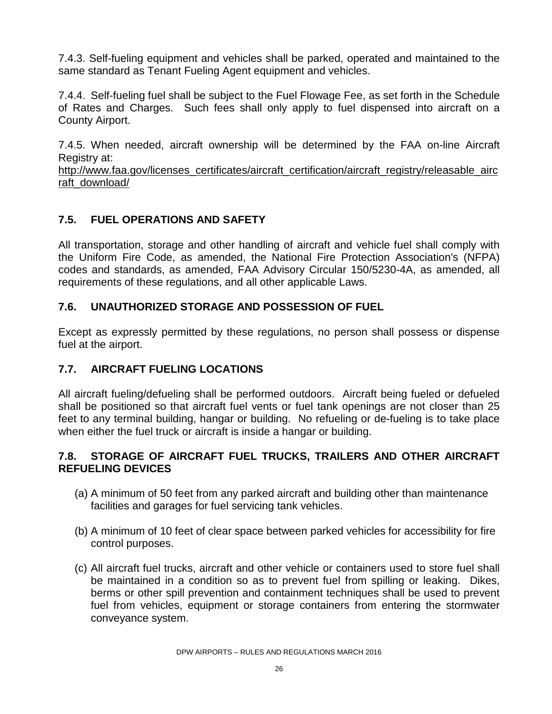7.4.3. Self-fueling equipment and vehicles shall be parked, operated and maintained to the same standard as Tenant Fueling Agent equipment and vehicles.

7.4.4. Self-fueling fuel shall be subject to the Fuel Flowage Fee, as set forth in the Schedule of Rates and Charges. Such fees shall only apply to fuel dispensed into aircraft on a County Airport.

7.4.5. When needed, aircraft ownership will be determined by the FAA on-line Aircraft Registry at:

[http://www.faa.gov/licenses\\_certificates/aircraft\\_certification/aircraft\\_registry/releasable\\_airc](http://www.faa.gov/licenses_certificates/aircraft_certification/aircraft_registry/releasable_aircraft_download/) [raft\\_download/](http://www.faa.gov/licenses_certificates/aircraft_certification/aircraft_registry/releasable_aircraft_download/)

#### **7.5. FUEL OPERATIONS AND SAFETY**

All transportation, storage and other handling of aircraft and vehicle fuel shall comply with the Uniform Fire Code, as amended, the National Fire Protection Association's (NFPA) codes and standards, as amended, FAA Advisory Circular 150/5230-4A, as amended, all requirements of these regulations, and all other applicable Laws.

#### **7.6. UNAUTHORIZED STORAGE AND POSSESSION OF FUEL**

Except as expressly permitted by these regulations, no person shall possess or dispense fuel at the airport.

#### **7.7. AIRCRAFT FUELING LOCATIONS**

All aircraft fueling/defueling shall be performed outdoors. Aircraft being fueled or defueled shall be positioned so that aircraft fuel vents or fuel tank openings are not closer than 25 feet to any terminal building, hangar or building. No refueling or de-fueling is to take place when either the fuel truck or aircraft is inside a hangar or building.

#### **7.8. STORAGE OF AIRCRAFT FUEL TRUCKS, TRAILERS AND OTHER AIRCRAFT REFUELING DEVICES**

- (a) A minimum of 50 feet from any parked aircraft and building other than maintenance facilities and garages for fuel servicing tank vehicles.
- (b) A minimum of 10 feet of clear space between parked vehicles for accessibility for fire control purposes.
- (c) All aircraft fuel trucks, aircraft and other vehicle or containers used to store fuel shall be maintained in a condition so as to prevent fuel from spilling or leaking. Dikes, berms or other spill prevention and containment techniques shall be used to prevent fuel from vehicles, equipment or storage containers from entering the stormwater conveyance system.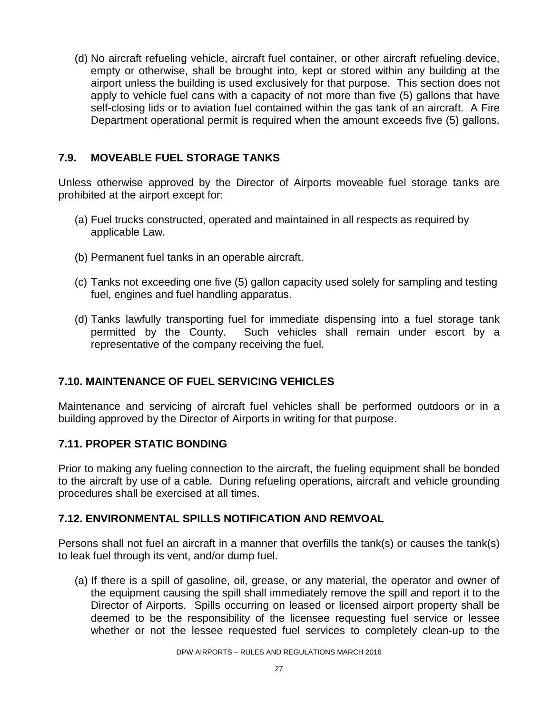(d) No aircraft refueling vehicle, aircraft fuel container, or other aircraft refueling device, empty or otherwise, shall be brought into, kept or stored within any building at the airport unless the building is used exclusively for that purpose. This section does not apply to vehicle fuel cans with a capacity of not more than five (5) gallons that have self-closing lids or to aviation fuel contained within the gas tank of an aircraft. A Fire Department operational permit is required when the amount exceeds five (5) gallons.

#### **7.9. MOVEABLE FUEL STORAGE TANKS**

Unless otherwise approved by the Director of Airports moveable fuel storage tanks are prohibited at the airport except for:

- (a) Fuel trucks constructed, operated and maintained in all respects as required by applicable Law.
- (b) Permanent fuel tanks in an operable aircraft.
- (c) Tanks not exceeding one five (5) gallon capacity used solely for sampling and testing fuel, engines and fuel handling apparatus.
- (d) Tanks lawfully transporting fuel for immediate dispensing into a fuel storage tank permitted by the County. Such vehicles shall remain under escort by a representative of the company receiving the fuel.

#### **7.10. MAINTENANCE OF FUEL SERVICING VEHICLES**

Maintenance and servicing of aircraft fuel vehicles shall be performed outdoors or in a building approved by the Director of Airports in writing for that purpose.

#### **7.11. PROPER STATIC BONDING**

Prior to making any fueling connection to the aircraft, the fueling equipment shall be bonded to the aircraft by use of a cable. During refueling operations, aircraft and vehicle grounding procedures shall be exercised at all times.

#### **7.12. ENVIRONMENTAL SPILLS NOTIFICATION AND REMVOAL**

Persons shall not fuel an aircraft in a manner that overfills the tank(s) or causes the tank(s) to leak fuel through its vent, and/or dump fuel.

(a) If there is a spill of gasoline, oil, grease, or any material, the operator and owner of the equipment causing the spill shall immediately remove the spill and report it to the Director of Airports. Spills occurring on leased or licensed airport property shall be deemed to be the responsibility of the licensee requesting fuel service or lessee whether or not the lessee requested fuel services to completely clean-up to the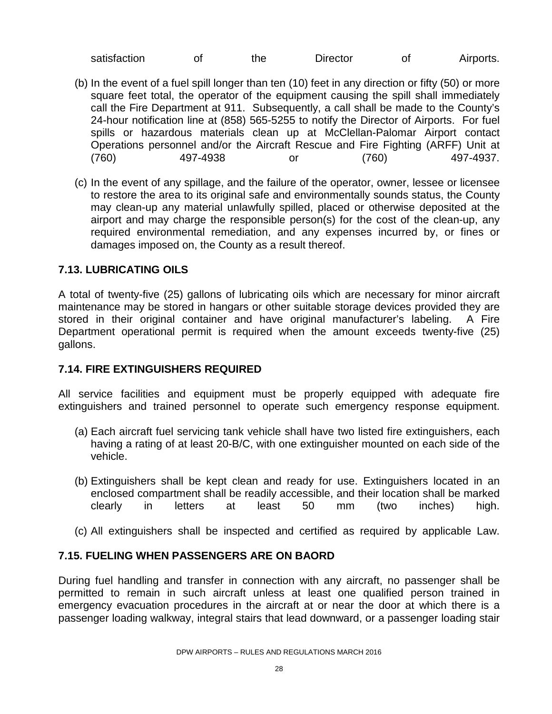| satisfaction |  | the : | <b>Director</b> |  | Airports. |
|--------------|--|-------|-----------------|--|-----------|
|--------------|--|-------|-----------------|--|-----------|

- (b) In the event of a fuel spill longer than ten (10) feet in any direction or fifty (50) or more square feet total, the operator of the equipment causing the spill shall immediately call the Fire Department at 911. Subsequently, a call shall be made to the County's 24-hour notification line at (858) 565-5255 to notify the Director of Airports. For fuel spills or hazardous materials clean up at McClellan-Palomar Airport contact Operations personnel and/or the Aircraft Rescue and Fire Fighting (ARFF) Unit at (760) 497-4938 or (760) 497-4937.
- (c) In the event of any spillage, and the failure of the operator, owner, lessee or licensee to restore the area to its original safe and environmentally sounds status, the County may clean-up any material unlawfully spilled, placed or otherwise deposited at the airport and may charge the responsible person(s) for the cost of the clean-up, any required environmental remediation, and any expenses incurred by, or fines or damages imposed on, the County as a result thereof.

#### **7.13. LUBRICATING OILS**

A total of twenty-five (25) gallons of lubricating oils which are necessary for minor aircraft maintenance may be stored in hangars or other suitable storage devices provided they are stored in their original container and have original manufacturer's labeling. A Fire Department operational permit is required when the amount exceeds twenty-five (25) gallons.

#### **7.14. FIRE EXTINGUISHERS REQUIRED**

All service facilities and equipment must be properly equipped with adequate fire extinguishers and trained personnel to operate such emergency response equipment.

- (a) Each aircraft fuel servicing tank vehicle shall have two listed fire extinguishers, each having a rating of at least 20-B/C, with one extinguisher mounted on each side of the vehicle.
- (b) Extinguishers shall be kept clean and ready for use. Extinguishers located in an enclosed compartment shall be readily accessible, and their location shall be marked clearly in letters at least 50 mm (two inches) high.
- (c) All extinguishers shall be inspected and certified as required by applicable Law.

#### **7.15. FUELING WHEN PASSENGERS ARE ON BAORD**

During fuel handling and transfer in connection with any aircraft, no passenger shall be permitted to remain in such aircraft unless at least one qualified person trained in emergency evacuation procedures in the aircraft at or near the door at which there is a passenger loading walkway, integral stairs that lead downward, or a passenger loading stair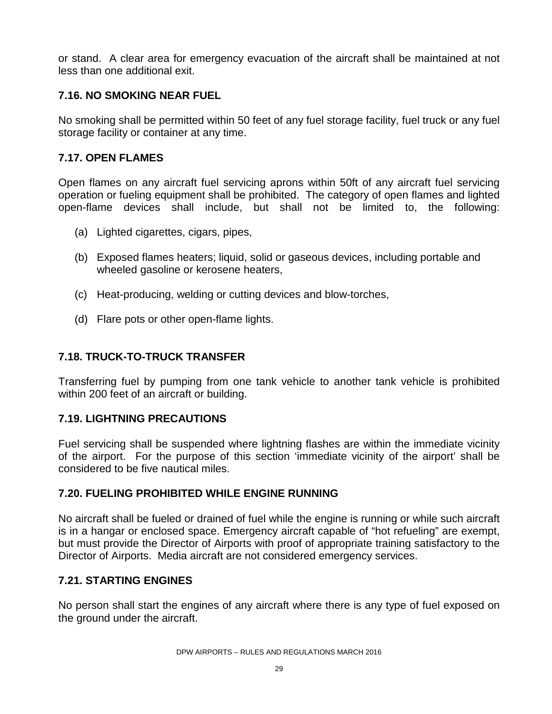or stand. A clear area for emergency evacuation of the aircraft shall be maintained at not less than one additional exit.

#### **7.16. NO SMOKING NEAR FUEL**

No smoking shall be permitted within 50 feet of any fuel storage facility, fuel truck or any fuel storage facility or container at any time.

#### **7.17. OPEN FLAMES**

Open flames on any aircraft fuel servicing aprons within 50ft of any aircraft fuel servicing operation or fueling equipment shall be prohibited. The category of open flames and lighted open-flame devices shall include, but shall not be limited to, the following:

- (a) Lighted cigarettes, cigars, pipes,
- (b) Exposed flames heaters; liquid, solid or gaseous devices, including portable and wheeled gasoline or kerosene heaters,
- (c) Heat-producing, welding or cutting devices and blow-torches,
- (d) Flare pots or other open-flame lights.

#### **7.18. TRUCK-TO-TRUCK TRANSFER**

Transferring fuel by pumping from one tank vehicle to another tank vehicle is prohibited within 200 feet of an aircraft or building.

#### **7.19. LIGHTNING PRECAUTIONS**

Fuel servicing shall be suspended where lightning flashes are within the immediate vicinity of the airport. For the purpose of this section 'immediate vicinity of the airport' shall be considered to be five nautical miles.

#### **7.20. FUELING PROHIBITED WHILE ENGINE RUNNING**

No aircraft shall be fueled or drained of fuel while the engine is running or while such aircraft is in a hangar or enclosed space. Emergency aircraft capable of "hot refueling" are exempt, but must provide the Director of Airports with proof of appropriate training satisfactory to the Director of Airports. Media aircraft are not considered emergency services.

#### **7.21. STARTING ENGINES**

No person shall start the engines of any aircraft where there is any type of fuel exposed on the ground under the aircraft.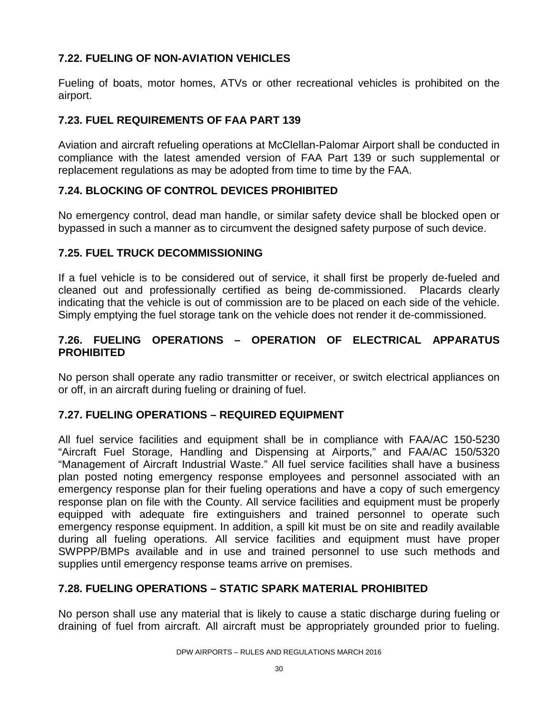#### **7.22. FUELING OF NON-AVIATION VEHICLES**

Fueling of boats, motor homes, ATVs or other recreational vehicles is prohibited on the airport.

#### **7.23. FUEL REQUIREMENTS OF FAA PART 139**

Aviation and aircraft refueling operations at McClellan-Palomar Airport shall be conducted in compliance with the latest amended version of FAA Part 139 or such supplemental or replacement regulations as may be adopted from time to time by the FAA.

#### **7.24. BLOCKING OF CONTROL DEVICES PROHIBITED**

No emergency control, dead man handle, or similar safety device shall be blocked open or bypassed in such a manner as to circumvent the designed safety purpose of such device.

#### **7.25. FUEL TRUCK DECOMMISSIONING**

If a fuel vehicle is to be considered out of service, it shall first be properly de-fueled and cleaned out and professionally certified as being de-commissioned. Placards clearly indicating that the vehicle is out of commission are to be placed on each side of the vehicle. Simply emptying the fuel storage tank on the vehicle does not render it de-commissioned.

#### **7.26. FUELING OPERATIONS – OPERATION OF ELECTRICAL APPARATUS PROHIBITED**

No person shall operate any radio transmitter or receiver, or switch electrical appliances on or off, in an aircraft during fueling or draining of fuel.

#### **7.27. FUELING OPERATIONS – REQUIRED EQUIPMENT**

All fuel service facilities and equipment shall be in compliance with FAA/AC 150-5230 "Aircraft Fuel Storage, Handling and Dispensing at Airports," and FAA/AC 150/5320 "Management of Aircraft Industrial Waste." All fuel service facilities shall have a business plan posted noting emergency response employees and personnel associated with an emergency response plan for their fueling operations and have a copy of such emergency response plan on file with the County. All service facilities and equipment must be properly equipped with adequate fire extinguishers and trained personnel to operate such emergency response equipment. In addition, a spill kit must be on site and readily available during all fueling operations. All service facilities and equipment must have proper SWPPP/BMPs available and in use and trained personnel to use such methods and supplies until emergency response teams arrive on premises.

#### **7.28. FUELING OPERATIONS – STATIC SPARK MATERIAL PROHIBITED**

No person shall use any material that is likely to cause a static discharge during fueling or draining of fuel from aircraft. All aircraft must be appropriately grounded prior to fueling.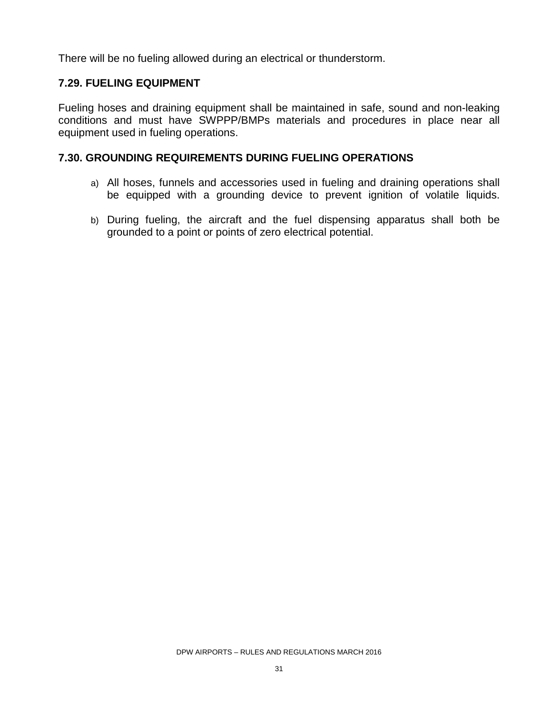There will be no fueling allowed during an electrical or thunderstorm.

#### **7.29. FUELING EQUIPMENT**

Fueling hoses and draining equipment shall be maintained in safe, sound and non-leaking conditions and must have SWPPP/BMPs materials and procedures in place near all equipment used in fueling operations.

#### **7.30. GROUNDING REQUIREMENTS DURING FUELING OPERATIONS**

- a) All hoses, funnels and accessories used in fueling and draining operations shall be equipped with a grounding device to prevent ignition of volatile liquids.
- b) During fueling, the aircraft and the fuel dispensing apparatus shall both be grounded to a point or points of zero electrical potential.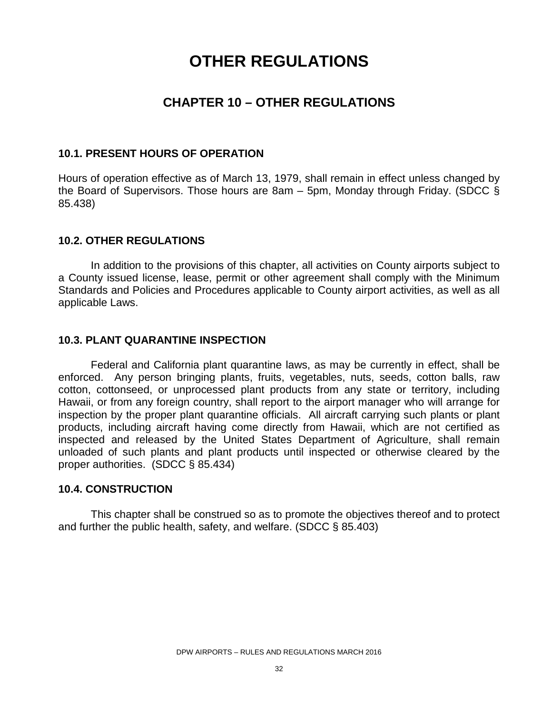# **OTHER REGULATIONS**

### **CHAPTER 10 – OTHER REGULATIONS**

#### **10.1. PRESENT HOURS OF OPERATION**

Hours of operation effective as of March 13, 1979, shall remain in effect unless changed by the Board of Supervisors. Those hours are 8am – 5pm, Monday through Friday. (SDCC § 85.438)

#### **10.2. OTHER REGULATIONS**

In addition to the provisions of this chapter, all activities on County airports subject to a County issued license, lease, permit or other agreement shall comply with the Minimum Standards and Policies and Procedures applicable to County airport activities, as well as all applicable Laws.

#### **10.3. PLANT QUARANTINE INSPECTION**

Federal and California plant quarantine laws, as may be currently in effect, shall be enforced. Any person bringing plants, fruits, vegetables, nuts, seeds, cotton balls, raw cotton, cottonseed, or unprocessed plant products from any state or territory, including Hawaii, or from any foreign country, shall report to the airport manager who will arrange for inspection by the proper plant quarantine officials. All aircraft carrying such plants or plant products, including aircraft having come directly from Hawaii, which are not certified as inspected and released by the United States Department of Agriculture, shall remain unloaded of such plants and plant products until inspected or otherwise cleared by the proper authorities. (SDCC § 85.434)

#### **10.4. CONSTRUCTION**

This chapter shall be construed so as to promote the objectives thereof and to protect and further the public health, safety, and welfare. (SDCC § 85.403)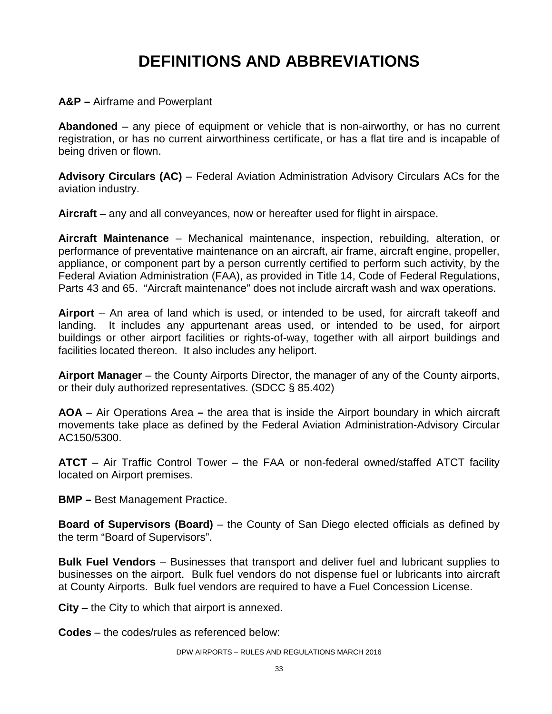# **DEFINITIONS AND ABBREVIATIONS**

#### **A&P –** Airframe and Powerplant

**Abandoned** – any piece of equipment or vehicle that is non-airworthy, or has no current registration, or has no current airworthiness certificate, or has a flat tire and is incapable of being driven or flown.

**Advisory Circulars (AC)** – Federal Aviation Administration Advisory Circulars ACs for the aviation industry.

**Aircraft** – any and all conveyances, now or hereafter used for flight in airspace.

**Aircraft Maintenance** – Mechanical maintenance, inspection, rebuilding, alteration, or performance of preventative maintenance on an aircraft, air frame, aircraft engine, propeller, appliance, or component part by a person currently certified to perform such activity, by the Federal Aviation Administration (FAA), as provided in Title 14, Code of Federal Regulations, Parts 43 and 65. "Aircraft maintenance" does not include aircraft wash and wax operations.

**Airport** – An area of land which is used, or intended to be used, for aircraft takeoff and landing. It includes any appurtenant areas used, or intended to be used, for airport buildings or other airport facilities or rights-of-way, together with all airport buildings and facilities located thereon. It also includes any heliport.

**Airport Manager** – the County Airports Director, the manager of any of the County airports, or their duly authorized representatives. (SDCC § 85.402)

**AOA** – Air Operations Area **–** the area that is inside the Airport boundary in which aircraft movements take place as defined by the Federal Aviation Administration-Advisory Circular AC150/5300.

**ATCT** – Air Traffic Control Tower – the FAA or non-federal owned/staffed ATCT facility located on Airport premises.

**BMP –** Best Management Practice.

**Board of Supervisors (Board)** – the County of San Diego elected officials as defined by the term "Board of Supervisors".

**Bulk Fuel Vendors** – Businesses that transport and deliver fuel and lubricant supplies to businesses on the airport. Bulk fuel vendors do not dispense fuel or lubricants into aircraft at County Airports. Bulk fuel vendors are required to have a Fuel Concession License.

**City** – the City to which that airport is annexed.

**Codes** – the codes/rules as referenced below: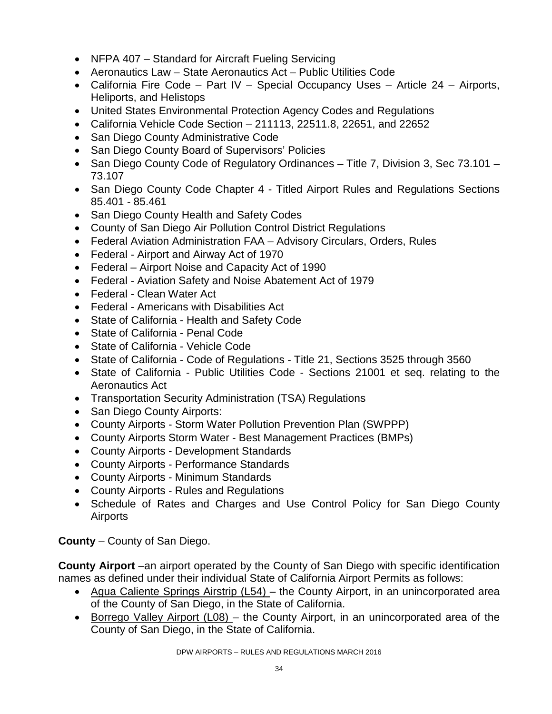- NFPA 407 Standard for Aircraft Fueling Servicing
- Aeronautics Law State Aeronautics Act Public Utilities Code
- California Fire Code Part IV Special Occupancy Uses Article 24 Airports, Heliports, and Helistops
- United States Environmental Protection Agency Codes and Regulations
- California Vehicle Code Section  $-211113$ , 22511.8, 22651, and 22652
- San Diego County Administrative Code
- San Diego County Board of Supervisors' Policies
- San Diego County Code of Regulatory Ordinances Title 7, Division 3, Sec 73.101 73.107
- San Diego County Code Chapter 4 Titled Airport Rules and Regulations Sections 85.401 - 85.461
- San Diego County Health and Safety Codes
- County of San Diego Air Pollution Control District Regulations
- Federal Aviation Administration FAA Advisory Circulars, Orders, Rules
- Federal Airport and Airway Act of 1970
- Federal Airport Noise and Capacity Act of 1990
- Federal Aviation Safety and Noise Abatement Act of 1979
- Federal Clean Water Act
- Federal Americans with Disabilities Act
- State of California Health and Safety Code
- State of California Penal Code
- State of California Vehicle Code
- State of California Code of Regulations Title 21, Sections 3525 through 3560
- State of California Public Utilities Code Sections 21001 et seq. relating to the Aeronautics Act
- Transportation Security Administration (TSA) Regulations
- San Diego County Airports:
- County Airports Storm Water Pollution Prevention Plan (SWPPP)
- County Airports Storm Water Best Management Practices (BMPs)
- County Airports Development Standards
- County Airports Performance Standards
- County Airports Minimum Standards
- County Airports Rules and Regulations
- Schedule of Rates and Charges and Use Control Policy for San Diego County **Airports**

**County** – County of San Diego.

**County Airport** –an airport operated by the County of San Diego with specific identification names as defined under their individual State of California Airport Permits as follows:

- Agua Caliente Springs Airstrip (L54) the County Airport, in an unincorporated area of the County of San Diego, in the State of California.
- Borrego Valley Airport (L08) the County Airport, in an unincorporated area of the County of San Diego, in the State of California.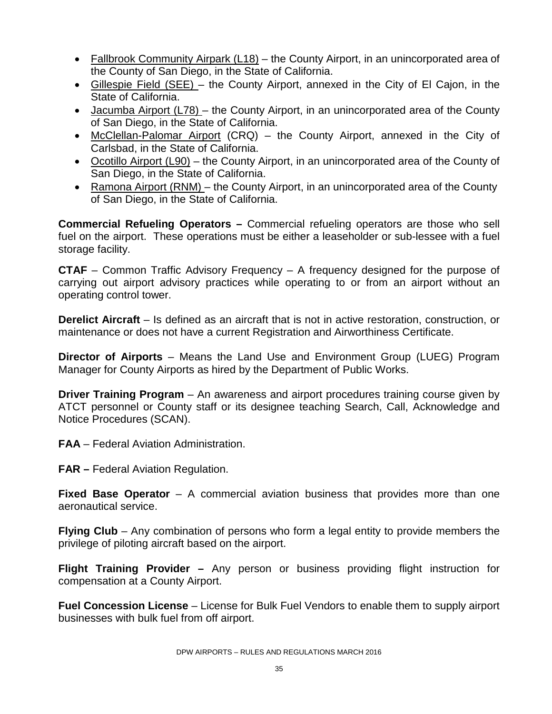- Fallbrook Community Airpark (L18) the County Airport, in an unincorporated area of the County of San Diego, in the State of California.
- Gillespie Field (SEE) the County Airport, annexed in the City of El Cajon, in the State of California.
- Jacumba Airport (L78) the County Airport, in an unincorporated area of the County of San Diego, in the State of California.
- McClellan-Palomar Airport (CRQ) the County Airport, annexed in the City of Carlsbad, in the State of California.
- Ocotillo Airport (L90) the County Airport, in an unincorporated area of the County of San Diego, in the State of California.
- Ramona Airport (RNM) the County Airport, in an unincorporated area of the County of San Diego, in the State of California.

**Commercial Refueling Operators –** Commercial refueling operators are those who sell fuel on the airport. These operations must be either a leaseholder or sub-lessee with a fuel storage facility.

**CTAF** – Common Traffic Advisory Frequency – A frequency designed for the purpose of carrying out airport advisory practices while operating to or from an airport without an operating control tower.

**Derelict Aircraft** – Is defined as an aircraft that is not in active restoration, construction, or maintenance or does not have a current Registration and Airworthiness Certificate.

**Director of Airports** – Means the Land Use and Environment Group (LUEG) Program Manager for County Airports as hired by the Department of Public Works.

**Driver Training Program** – An awareness and airport procedures training course given by ATCT personnel or County staff or its designee teaching Search, Call, Acknowledge and Notice Procedures (SCAN).

**FAA** – Federal Aviation Administration.

**FAR –** Federal Aviation Regulation.

**Fixed Base Operator** – A commercial aviation business that provides more than one aeronautical service.

**Flying Club** – Any combination of persons who form a legal entity to provide members the privilege of piloting aircraft based on the airport.

**Flight Training Provider –** Any person or business providing flight instruction for compensation at a County Airport.

**Fuel Concession License** – License for Bulk Fuel Vendors to enable them to supply airport businesses with bulk fuel from off airport.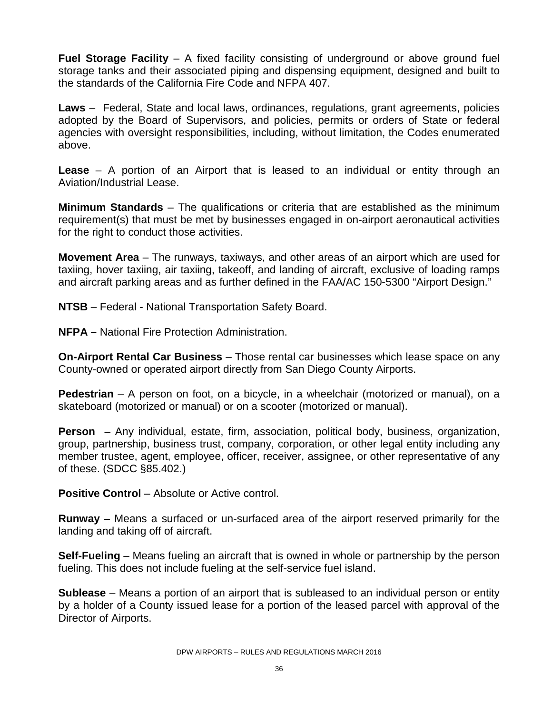**Fuel Storage Facility** – A fixed facility consisting of underground or above ground fuel storage tanks and their associated piping and dispensing equipment, designed and built to the standards of the California Fire Code and NFPA 407.

**Laws** –Federal, State and local laws, ordinances, regulations, grant agreements, policies adopted by the Board of Supervisors, and policies, permits or orders of State or federal agencies with oversight responsibilities, including, without limitation, the Codes enumerated above.

**Lease** – A portion of an Airport that is leased to an individual or entity through an Aviation/Industrial Lease.

**Minimum Standards** – The qualifications or criteria that are established as the minimum requirement(s) that must be met by businesses engaged in on-airport aeronautical activities for the right to conduct those activities.

**Movement Area** – The runways, taxiways, and other areas of an airport which are used for taxiing, hover taxiing, air taxiing, takeoff, and landing of aircraft, exclusive of loading ramps and aircraft parking areas and as further defined in the FAA/AC 150-5300 "Airport Design."

**NTSB** – Federal - National Transportation Safety Board.

**NFPA –** National Fire Protection Administration.

**On-Airport Rental Car Business** – Those rental car businesses which lease space on any County-owned or operated airport directly from San Diego County Airports.

**Pedestrian** – A person on foot, on a bicycle, in a wheelchair (motorized or manual), on a skateboard (motorized or manual) or on a scooter (motorized or manual).

**Person** – Any individual, estate, firm, association, political body, business, organization, group, partnership, business trust, company, corporation, or other legal entity including any member trustee, agent, employee, officer, receiver, assignee, or other representative of any of these. (SDCC §85.402.)

**Positive Control** – Absolute or Active control.

**Runway** – Means a surfaced or un-surfaced area of the airport reserved primarily for the landing and taking off of aircraft.

**Self-Fueling** – Means fueling an aircraft that is owned in whole or partnership by the person fueling. This does not include fueling at the self-service fuel island.

**Sublease** – Means a portion of an airport that is subleased to an individual person or entity by a holder of a County issued lease for a portion of the leased parcel with approval of the Director of Airports.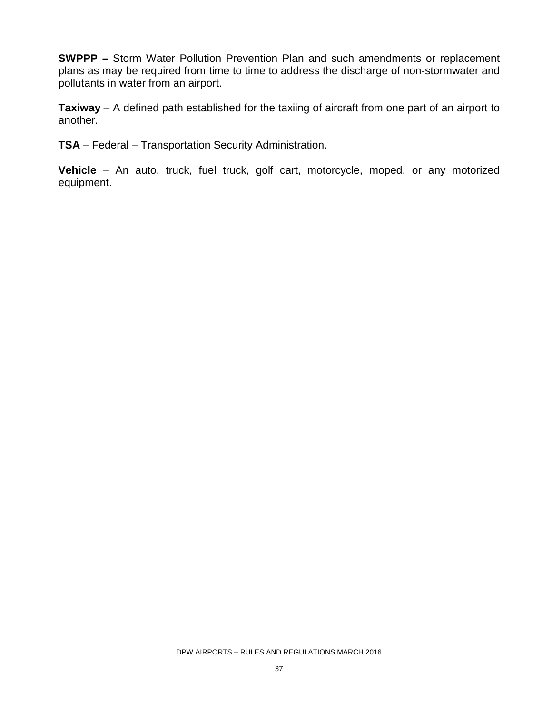**SWPPP –** Storm Water Pollution Prevention Plan and such amendments or replacement plans as may be required from time to time to address the discharge of non-stormwater and pollutants in water from an airport.

**Taxiway** – A defined path established for the taxiing of aircraft from one part of an airport to another.

**TSA** – Federal – Transportation Security Administration.

**Vehicle** – An auto, truck, fuel truck, golf cart, motorcycle, moped, or any motorized equipment.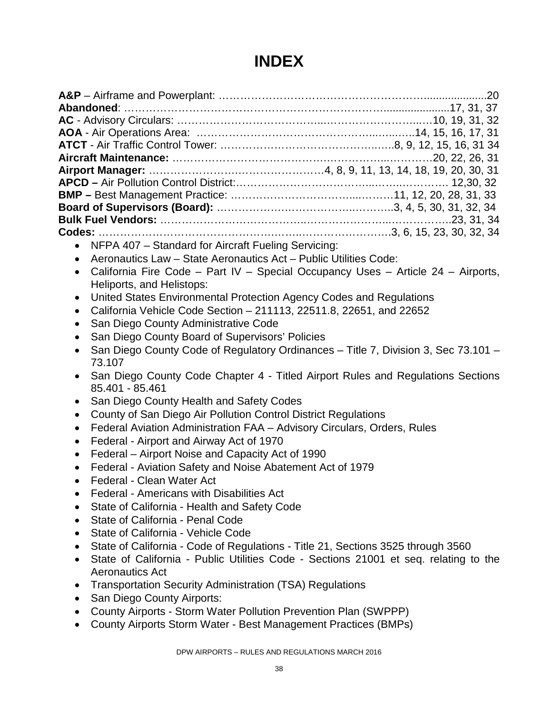# **INDEX**

- NFPA 407 Standard for Aircraft Fueling Servicing:
- Aeronautics Law State Aeronautics Act Public Utilities Code:
- California Fire Code Part IV Special Occupancy Uses Article 24 Airports, Heliports, and Helistops:
- United States Environmental Protection Agency Codes and Regulations
- California Vehicle Code Section 211113, 22511.8, 22651, and 22652
- San Diego County Administrative Code
- San Diego County Board of Supervisors' Policies
- San Diego County Code of Regulatory Ordinances Title 7, Division 3, Sec 73.101 73.107
- San Diego County Code Chapter 4 Titled Airport Rules and Regulations Sections 85.401 - 85.461
- San Diego County Health and Safety Codes
- County of San Diego Air Pollution Control District Regulations
- Federal Aviation Administration FAA Advisory Circulars, Orders, Rules
- Federal Airport and Airway Act of 1970
- Federal Airport Noise and Capacity Act of 1990
- Federal Aviation Safety and Noise Abatement Act of 1979
- Federal Clean Water Act
- Federal Americans with Disabilities Act
- State of California Health and Safety Code
- State of California Penal Code
- State of California Vehicle Code
- State of California Code of Regulations Title 21, Sections 3525 through 3560
- State of California Public Utilities Code Sections 21001 et seq. relating to the Aeronautics Act
- Transportation Security Administration (TSA) Regulations
- San Diego County Airports:
- County Airports Storm Water Pollution Prevention Plan (SWPPP)
- County Airports Storm Water Best Management Practices (BMPs)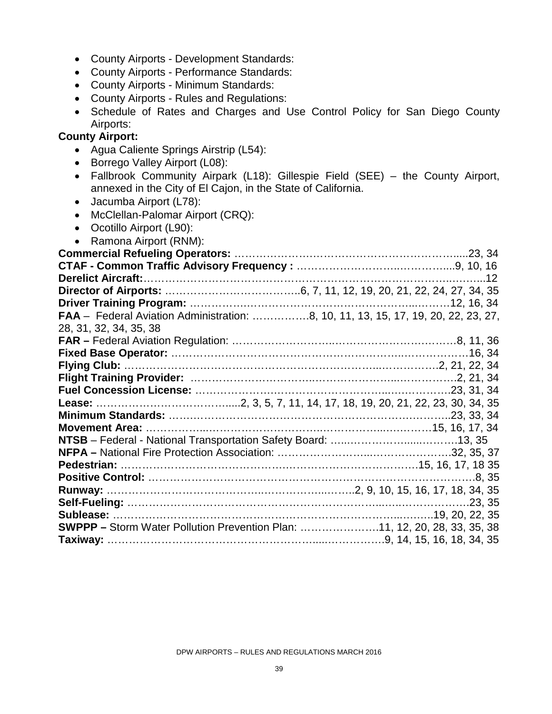- County Airports Development Standards:
- County Airports Performance Standards:
- County Airports Minimum Standards:
- County Airports Rules and Regulations:
- Schedule of Rates and Charges and Use Control Policy for San Diego County Airports:

#### **County Airport:**

- Agua Caliente Springs Airstrip (L54):
- Borrego Valley Airport (L08):
- Fallbrook Community Airpark (L18): Gillespie Field (SEE) the County Airport, annexed in the City of El Cajon, in the State of California.
- Jacumba Airport (L78):
- McClellan-Palomar Airport (CRQ):
- Ocotillo Airport (L90):
- Ramona Airport (RNM):

| FAA - Federal Aviation Administration: 8, 10, 11, 13, 15, 17, 19, 20, 22, 23, 27, |  |
|-----------------------------------------------------------------------------------|--|
| 28, 31, 32, 34, 35, 38                                                            |  |
|                                                                                   |  |
|                                                                                   |  |
|                                                                                   |  |
|                                                                                   |  |
|                                                                                   |  |
|                                                                                   |  |
|                                                                                   |  |
|                                                                                   |  |
|                                                                                   |  |
|                                                                                   |  |
|                                                                                   |  |
|                                                                                   |  |
|                                                                                   |  |
|                                                                                   |  |
|                                                                                   |  |
| <b>SWPPP - Storm Water Pollution Prevention Plan: 11, 12, 20, 28, 33, 35, 38</b>  |  |
|                                                                                   |  |